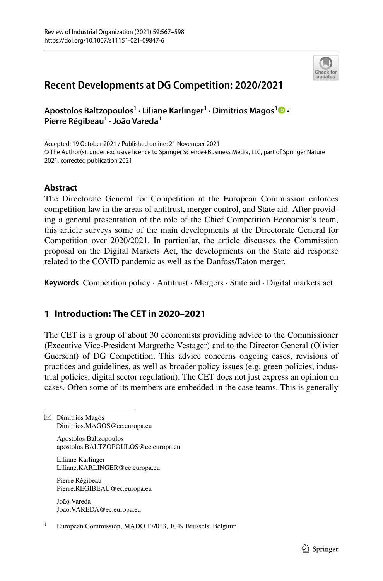

# **Recent Developments at DG Competition: 2020/2021**

**Apostolos Baltzopoulos1 · Liliane Karlinger1 · Dimitrios Magos[1](http://orcid.org/0000-0002-4545-1396) · Pierre Régibeau1 · João Vareda<sup>1</sup>**

Accepted: 19 October 2021 / Published online: 21 November 2021 © The Author(s), under exclusive licence to Springer Science+Business Media, LLC, part of Springer Nature 2021, corrected publication 2021

# **Abstract**

The Directorate General for Competition at the European Commission enforces competition law in the areas of antitrust, merger control, and State aid. After providing a general presentation of the role of the Chief Competition Economist's team, this article surveys some of the main developments at the Directorate General for Competition over 2020/2021. In particular, the article discusses the Commission proposal on the Digital Markets Act, the developments on the State aid response related to the COVID pandemic as well as the Danfoss/Eaton merger.

**Keywords** Competition policy · Antitrust · Mergers · State aid · Digital markets act

# **1 Introduction: The CET in 2020–2021**

The CET is a group of about 30 economists providing advice to the Commissioner (Executive Vice-President Margrethe Vestager) and to the Director General (Olivier Guersent) of DG Competition. This advice concerns ongoing cases, revisions of practices and guidelines, as well as broader policy issues (e.g. green policies, industrial policies, digital sector regulation). The CET does not just express an opinion on cases. Often some of its members are embedded in the case teams. This is generally

 $\boxtimes$  Dimitrios Magos Dimitrios.MAGOS@ec.europa.eu

> Apostolos Baltzopoulos apostolos.BALTZOPOULOS@ec.europa.eu

Liliane Karlinger Liliane.KARLINGER@ec.europa.eu

Pierre Régibeau Pierre.REGIBEAU@ec.europa.eu

João Vareda Joao.VAREDA@ec.europa.eu

<sup>1</sup> European Commission, MADO 17/013, 1049 Brussels, Belgium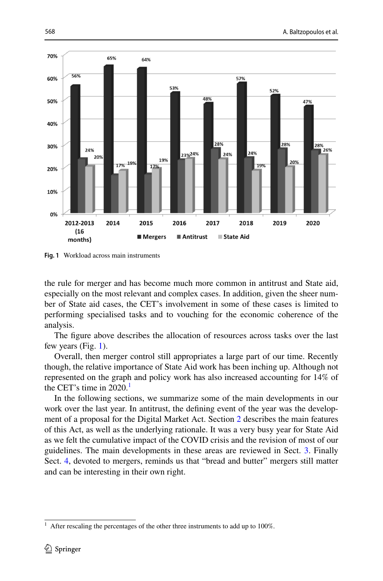

<span id="page-1-0"></span>**Fig. 1** Workload across main instruments

the rule for merger and has become much more common in antitrust and State aid, especially on the most relevant and complex cases. In addition, given the sheer number of State aid cases, the CET's involvement in some of these cases is limited to performing specialised tasks and to vouching for the economic coherence of the analysis.

The fgure above describes the allocation of resources across tasks over the last few years (Fig. [1\)](#page-1-0).

Overall, then merger control still appropriates a large part of our time. Recently though, the relative importance of State Aid work has been inching up. Although not represented on the graph and policy work has also increased accounting for 14% of the CET's time in  $2020$ .<sup>1</sup>

In the following sections, we summarize some of the main developments in our work over the last year. In antitrust, the defning event of the year was the development of a proposal for the Digital Market Act. Section [2](#page-2-0) describes the main features of this Act, as well as the underlying rationale. It was a very busy year for State Aid as we felt the cumulative impact of the COVID crisis and the revision of most of our guidelines. The main developments in these areas are reviewed in Sect. [3](#page-14-0). Finally Sect. [4,](#page-26-0) devoted to mergers, reminds us that "bread and butter" mergers still matter and can be interesting in their own right.

<span id="page-1-1"></span> $1$  After rescaling the percentages of the other three instruments to add up to 100%.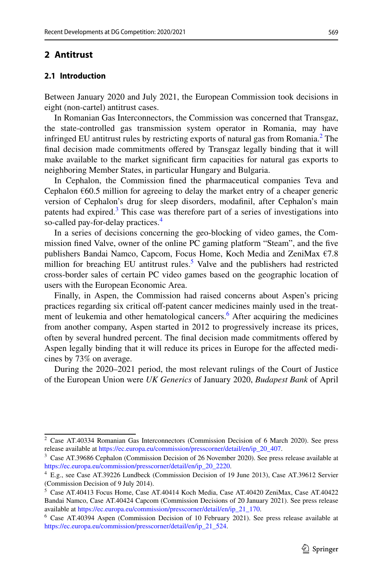# <span id="page-2-0"></span>**2 Antitrust**

# **2.1 Introduction**

Between January 2020 and July 2021, the European Commission took decisions in eight (non-cartel) antitrust cases.

In Romanian Gas Interconnectors, the Commission was concerned that Transgaz, the state-controlled gas transmission system operator in Romania, may have infringed EU antitrust rules by restricting exports of natural gas from Romania.[2](#page-2-1) The fnal decision made commitments ofered by Transgaz legally binding that it will make available to the market signifcant frm capacities for natural gas exports to neighboring Member States, in particular Hungary and Bulgaria.

In Cephalon, the Commission fned the pharmaceutical companies Teva and Cephalon  $\epsilon$ 60.5 million for agreeing to delay the market entry of a cheaper generic version of Cephalon's drug for sleep disorders, modafnil, after Cephalon's main patents had expired. $3$  This case was therefore part of a series of investigations into so-called pay-for-delay practices.<sup>4</sup>

In a series of decisions concerning the geo-blocking of video games, the Commission fned Valve, owner of the online PC gaming platform "Steam", and the fve publishers Bandai Namco, Capcom, Focus Home, Koch Media and ZeniMax €7.8 million for breaching EU antitrust rules.<sup>[5](#page-2-4)</sup> Valve and the publishers had restricted cross-border sales of certain PC video games based on the geographic location of users with the European Economic Area.

Finally, in Aspen, the Commission had raised concerns about Aspen's pricing practices regarding six critical off-patent cancer medicines mainly used in the treat-ment of leukemia and other hematological cancers.<sup>[6](#page-2-5)</sup> After acquiring the medicines from another company, Aspen started in 2012 to progressively increase its prices, often by several hundred percent. The final decision made commitments offered by Aspen legally binding that it will reduce its prices in Europe for the afected medicines by 73% on average.

During the 2020–2021 period, the most relevant rulings of the Court of Justice of the European Union were *UK Generics* of January 2020, *Budapest Bank* of April

<span id="page-2-1"></span><sup>2</sup> Case AT.40334 Romanian Gas Interconnectors (Commission Decision of 6 March 2020). See press release available at [https://ec.europa.eu/commission/presscorner/detail/en/ip\\_20\\_407](https://ec.europa.eu/commission/presscorner/detail/en/ip_20_407).

<span id="page-2-2"></span><sup>3</sup> Case AT.39686 Cephalon (Commission Decision of 26 November 2020). See press release available at [https://ec.europa.eu/commission/presscorner/detail/en/ip\\_20\\_2220](https://ec.europa.eu/commission/presscorner/detail/en/ip_20_2220).

<span id="page-2-3"></span><sup>4</sup> E.g., see Case AT.39226 Lundbeck (Commission Decision of 19 June 2013), Case AT.39612 Servier (Commission Decision of 9 July 2014).

<span id="page-2-4"></span><sup>5</sup> Case AT.40413 Focus Home, Case AT.40414 Koch Media, Case AT.40420 ZeniMax, Case AT.40422 Bandai Namco, Case AT.40424 Capcom (Commission Decisions of 20 January 2021). See press release available at [https://ec.europa.eu/commission/presscorner/detail/en/ip\\_21\\_170](https://ec.europa.eu/commission/presscorner/detail/en/ip_21_170).

<span id="page-2-5"></span><sup>6</sup> Case AT.40394 Aspen (Commission Decision of 10 February 2021). See press release available at [https://ec.europa.eu/commission/presscorner/detail/en/ip\\_21\\_524](https://ec.europa.eu/commission/presscorner/detail/en/ip_21_524).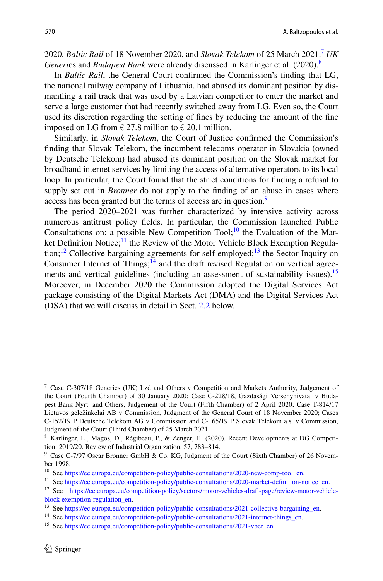2020, *Baltic Rail* of 18 November 2020, and *Slovak Telekom* of 25 March 2021.[7](#page-3-0) *UK Generi*cs and *Budapest Bank* were already discussed in Karlinger et al. (2020).[8](#page-3-1)

In *Baltic Rail*, the General Court confrmed the Commission's fnding that LG, the national railway company of Lithuania, had abused its dominant position by dismantling a rail track that was used by a Latvian competitor to enter the market and serve a large customer that had recently switched away from LG. Even so, the Court used its discretion regarding the setting of fnes by reducing the amount of the fne imposed on LG from  $\in$  27.8 million to  $\in$  20.1 million.

Similarly, in *Slovak Telekom*, the Court of Justice confrmed the Commission's fnding that Slovak Telekom, the incumbent telecoms operator in Slovakia (owned by Deutsche Telekom) had abused its dominant position on the Slovak market for broadband internet services by limiting the access of alternative operators to its local loop. In particular, the Court found that the strict conditions for fnding a refusal to supply set out in *Bronner* do not apply to the fnding of an abuse in cases where access has been granted but the terms of access are in question.<sup>[9](#page-3-2)</sup>

The period 2020–2021 was further characterized by intensive activity across numerous antitrust policy felds. In particular, the Commission launched Public Consultations on: a possible New Competition Tool;<sup>10</sup> the Evaluation of the Market Definition Notice;<sup>11</sup> the Review of the Motor Vehicle Block Exemption Regula-tion;<sup>[12](#page-3-5)</sup> Collective bargaining agreements for self-employed;<sup>13</sup> the Sector Inquiry on Consumer Internet of Things; $14$  and the draft revised Regulation on vertical agree-ments and vertical guidelines (including an assessment of sustainability issues).<sup>[15](#page-3-8)</sup> Moreover, in December 2020 the Commission adopted the Digital Services Act package consisting of the Digital Markets Act (DMA) and the Digital Services Act (DSA) that we will discuss in detail in Sect. [2.2](#page-4-0) below.

<span id="page-3-0"></span><sup>7</sup> Case C-307/18 Generics (UK) Lzd and Others v Competition and Markets Authority, Judgement of the Court (Fourth Chamber) of 30 January 2020; Case C-228/18, Gazdasági Versenyhivatal v Budapest Bank Nyrt. and Others, Judgement of the Court (Fifth Chamber) of 2 April 2020; Case T-814/17 Lietuvos geležinkelai AB v Commission, Judgment of the General Court of 18 November 2020; Cases C-152/19 P Deutsche Telekom AG v Commission and C-165/19 P Slovak Telekom a.s. v Commission, Judgment of the Court (Third Chamber) of 25 March 2021.

<span id="page-3-1"></span><sup>8</sup> Karlinger, L., Magos, D., Régibeau, P., & Zenger, H. (2020). Recent Developments at DG Competition: 2019/20. Review of Industrial Organization, 57, 783–814.

<span id="page-3-2"></span><sup>&</sup>lt;sup>9</sup> Case C-7/97 Oscar Bronner GmbH & Co. KG, Judgment of the Court (Sixth Chamber) of 26 November 1998.

<span id="page-3-3"></span><sup>&</sup>lt;sup>10</sup> See [https://ec.europa.eu/competition-policy/public-consultations/2020-new-comp-tool\\_en.](https://ec.europa.eu/competition-policy/public-consultations/2020-new-comp-tool_en)

<span id="page-3-4"></span><sup>&</sup>lt;sup>11</sup> See https://ec.europa.eu/competition-policy/public-consultations/2020-market-definition-notice\_en.

<span id="page-3-5"></span><sup>12</sup> See [https://ec.europa.eu/competition-policy/sectors/motor-vehicles-draft-page/review-motor-vehicle](https://ec.europa.eu/competition-policy/sectors/motor-vehicles-draft-page/review-motor-vehicle-block-exemption-regulation_en)[block-exemption-regulation\\_en.](https://ec.europa.eu/competition-policy/sectors/motor-vehicles-draft-page/review-motor-vehicle-block-exemption-regulation_en)

<span id="page-3-6"></span><sup>&</sup>lt;sup>13</sup> See [https://ec.europa.eu/competition-policy/public-consultations/2021-collective-bargaining\\_en](https://ec.europa.eu/competition-policy/public-consultations/2021-collective-bargaining_en).

<span id="page-3-7"></span><sup>&</sup>lt;sup>14</sup> See [https://ec.europa.eu/competition-policy/public-consultations/2021-internet-things\\_en](https://ec.europa.eu/competition-policy/public-consultations/2021-internet-things_en).

<span id="page-3-8"></span><sup>&</sup>lt;sup>15</sup> See [https://ec.europa.eu/competition-policy/public-consultations/2021-vber\\_en.](https://ec.europa.eu/competition-policy/public-consultations/2021-vber_en)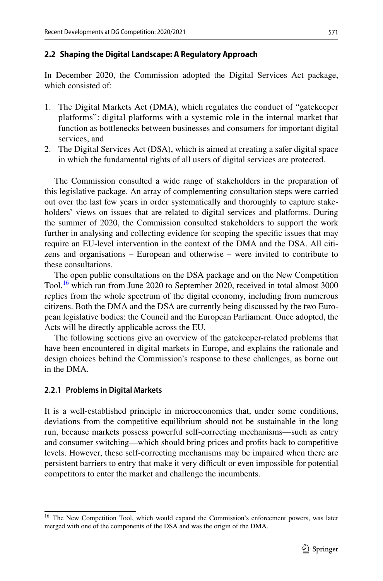# <span id="page-4-0"></span>**2.2 Shaping the Digital Landscape: A Regulatory Approach**

In December 2020, the Commission adopted the Digital Services Act package, which consisted of:

- 1. The Digital Markets Act (DMA), which regulates the conduct of "gatekeeper platforms": digital platforms with a systemic role in the internal market that function as bottlenecks between businesses and consumers for important digital services, and
- 2. The Digital Services Act (DSA), which is aimed at creating a safer digital space in which the fundamental rights of all users of digital services are protected.

The Commission consulted a wide range of stakeholders in the preparation of this legislative package. An array of complementing consultation steps were carried out over the last few years in order systematically and thoroughly to capture stakeholders' views on issues that are related to digital services and platforms. During the summer of 2020, the Commission consulted stakeholders to support the work further in analysing and collecting evidence for scoping the specifc issues that may require an EU-level intervention in the context of the DMA and the DSA. All citizens and organisations – European and otherwise – were invited to contribute to these consultations.

The open public consultations on the DSA package and on the New Competition Tool,<sup>16</sup> which ran from June 2020 to September 2020, received in total almost 3000 replies from the whole spectrum of the digital economy, including from numerous citizens. Both the DMA and the DSA are currently being discussed by the two European legislative bodies: the Council and the European Parliament. Once adopted, the Acts will be directly applicable across the EU.

The following sections give an overview of the gatekeeper-related problems that have been encountered in digital markets in Europe, and explains the rationale and design choices behind the Commission's response to these challenges, as borne out in the DMA.

# **2.2.1 Problems in Digital Markets**

It is a well-established principle in microeconomics that, under some conditions, deviations from the competitive equilibrium should not be sustainable in the long run, because markets possess powerful self-correcting mechanisms—such as entry and consumer switching—which should bring prices and profts back to competitive levels. However, these self-correcting mechanisms may be impaired when there are persistent barriers to entry that make it very difficult or even impossible for potential competitors to enter the market and challenge the incumbents.

<span id="page-4-1"></span><sup>&</sup>lt;sup>16</sup> The New Competition Tool, which would expand the Commission's enforcement powers, was later merged with one of the components of the DSA and was the origin of the DMA.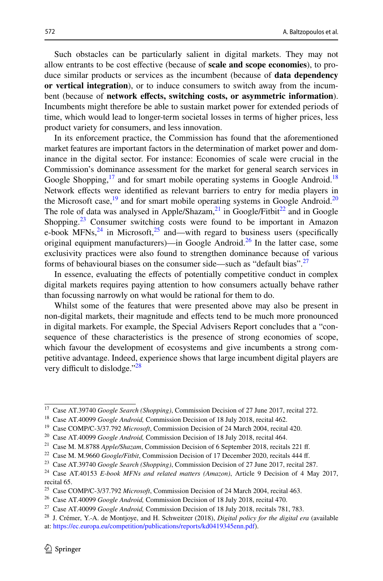Such obstacles can be particularly salient in digital markets. They may not allow entrants to be cost efective (because of **scale and scope economies**), to produce similar products or services as the incumbent (because of **data dependency or vertical integration**), or to induce consumers to switch away from the incumbent (because of **network efects, switching costs, or asymmetric information**). Incumbents might therefore be able to sustain market power for extended periods of time, which would lead to longer-term societal losses in terms of higher prices, less product variety for consumers, and less innovation.

In its enforcement practice, the Commission has found that the aforementioned market features are important factors in the determination of market power and dominance in the digital sector. For instance: Economies of scale were crucial in the Commission's dominance assessment for the market for general search services in Google Shopping, $^{17}$  and for smart mobile operating systems in Google Android.<sup>18</sup> Network efects were identifed as relevant barriers to entry for media players in the Microsoft case, $19$  and for smart mobile operating systems in Google Android.<sup>20</sup> The role of data was analysed in Apple/Shazam, $^{21}$  in Google/Fitbit<sup>22</sup> and in Google Shopping.<sup>23</sup> Consumer switching costs were found to be important in Amazon e-book MFNs,  $^{24}$  $^{24}$  $^{24}$  in Microsoft,  $^{25}$  and—with regard to business users (specifically original equipment manufacturers)—in Google Android.<sup>26</sup> In the latter case, some exclusivity practices were also found to strengthen dominance because of various forms of behavioural biases on the consumer side—such as "default bias".<sup>[27](#page-5-10)</sup>

In essence, evaluating the efects of potentially competitive conduct in complex digital markets requires paying attention to how consumers actually behave rather than focussing narrowly on what would be rational for them to do.

Whilst some of the features that were presented above may also be present in non-digital markets, their magnitude and efects tend to be much more pronounced in digital markets. For example, the Special Advisers Report concludes that a "consequence of these characteristics is the presence of strong economies of scope, which favour the development of ecosystems and give incumbents a strong competitive advantage. Indeed, experience shows that large incumbent digital players are very difficult to dislodge." $28$ 

<span id="page-5-0"></span><sup>17</sup> Case AT.39740 *Google Search (Shopping)*, Commission Decision of 27 June 2017, recital 272.

<span id="page-5-1"></span><sup>18</sup> Case AT.40099 *Google Android,* Commission Decision of 18 July 2018, recital 462.

<span id="page-5-2"></span><sup>19</sup> Case COMP/C-3/37.792 *Microsoft*, Commission Decision of 24 March 2004, recital 420.

<span id="page-5-3"></span><sup>20</sup> Case AT.40099 *Google Android,* Commission Decision of 18 July 2018, recital 464.

<span id="page-5-4"></span><sup>21</sup> Case M. M.8788 *Apple/Shazam*, Commission Decision of 6 September 2018, recitals 221 f.

<span id="page-5-5"></span><sup>&</sup>lt;sup>22</sup> Case M. M.9660 *Google/Fitbit*, Commission Decision of 17 December 2020, recitals 444 ff.

<span id="page-5-6"></span><sup>23</sup> Case AT.39740 *Google Search (Shopping)*, Commission Decision of 27 June 2017, recital 287.

<span id="page-5-7"></span><sup>24</sup> Case AT.40153 *E-book MFNs and related matters (Amazon)*, Article 9 Decision of 4 May 2017, recital 65.

<span id="page-5-8"></span><sup>25</sup> Case COMP/C-3/37.792 *Microsoft*, Commission Decision of 24 March 2004, recital 463.

<span id="page-5-9"></span><sup>26</sup> Case AT.40099 *Google Android,* Commission Decision of 18 July 2018, recital 470.

<span id="page-5-10"></span><sup>27</sup> Case AT.40099 *Google Android,* Commission Decision of 18 July 2018, recitals 781, 783.

<span id="page-5-11"></span><sup>28</sup> J. Crémer, Y.-A. de Montjoye, and H. Schweitzer (2018), *Digital policy for the digital era* (available at:<https://ec.europa.eu/competition/publications/reports/kd0419345enn.pdf>).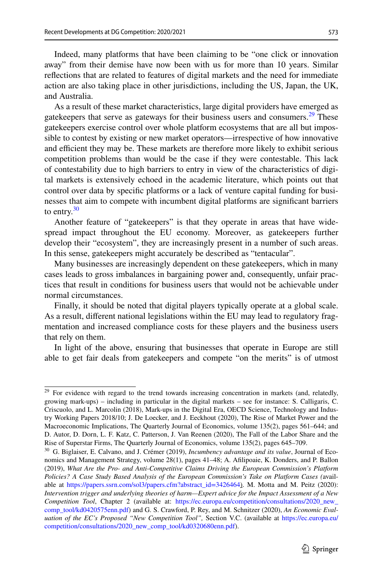Indeed, many platforms that have been claiming to be "one click or innovation away" from their demise have now been with us for more than 10 years. Similar refections that are related to features of digital markets and the need for immediate action are also taking place in other jurisdictions, including the US, Japan, the UK, and Australia.

As a result of these market characteristics, large digital providers have emerged as gatekeepers that serve as gateways for their business users and consumers.<sup>[29](#page-6-0)</sup> These gatekeepers exercise control over whole platform ecosystems that are all but impossible to contest by existing or new market operators—irrespective of how innovative and efficient they may be. These markets are therefore more likely to exhibit serious competition problems than would be the case if they were contestable. This lack of contestability due to high barriers to entry in view of the characteristics of digital markets is extensively echoed in the academic literature, which points out that control over data by specifc platforms or a lack of venture capital funding for businesses that aim to compete with incumbent digital platforms are signifcant barriers to entry. $30$ 

Another feature of "gatekeepers" is that they operate in areas that have widespread impact throughout the EU economy. Moreover, as gatekeepers further develop their "ecosystem", they are increasingly present in a number of such areas. In this sense, gatekeepers might accurately be described as "tentacular".

Many businesses are increasingly dependent on these gatekeepers, which in many cases leads to gross imbalances in bargaining power and, consequently, unfair practices that result in conditions for business users that would not be achievable under normal circumstances.

Finally, it should be noted that digital players typically operate at a global scale. As a result, diferent national legislations within the EU may lead to regulatory fragmentation and increased compliance costs for these players and the business users that rely on them.

In light of the above, ensuring that businesses that operate in Europe are still able to get fair deals from gatekeepers and compete "on the merits" is of utmost

<span id="page-6-0"></span><sup>&</sup>lt;sup>29</sup> For evidence with regard to the trend towards increasing concentration in markets (and, relatedly, growing mark-ups) – including in particular in the digital markets – see for instance: S. Calligaris, C. Criscuolo, and L. Marcolin (2018), Mark-ups in the Digital Era, OECD Science, Technology and Industry Working Papers 2018/10; J. De Loecker, and J. Eeckhout (2020), The Rise of Market Power and the Macroeconomic Implications, The Quarterly Journal of Economics, volume 135(2), pages 561–644; and D. Autor, D. Dorn, L. F. Katz, C. Patterson, J. Van Reenen (2020), The Fall of the Labor Share and the Rise of Superstar Firms, The Quarterly Journal of Economics, volume 135(2), pages 645–709.

<span id="page-6-1"></span><sup>30</sup> G. Biglaiser, E. Calvano, and J. Crémer (2019), *Incumbency advantage and its value*, Journal of Economics and Management Strategy, volume 28(1), pages 41–48; A. Aflipoaie, K. Donders, and P. Ballon (2019), *What Are the Pro- and Anti-Competitive Claims Driving the European Commission's Platform Policies? A Case Study Based Analysis of the European Commission's Take on Platform Cases (*available at [https://papers.ssrn.com/sol3/papers.cfm?abstract\\_id=3426464\)](https://papers.ssrn.com/sol3/papers.cfm?abstract_id=3426464). M. Motta and M. Peitz (2020): *Intervention trigger and underlying theories of harm—Expert advice for the Impact Assessment of a New Competition Tool*, Chapter 2 (available at: [https://ec.europa.eu/competition/consultations/2020\\_new\\_](https://ec.europa.eu/competition/consultations/2020_new_comp_tool/kd0420575enn.pdf) [comp\\_tool/kd0420575enn.pdf\)](https://ec.europa.eu/competition/consultations/2020_new_comp_tool/kd0420575enn.pdf) and G. S. Crawford, P. Rey, and M. Schnitzer (2020), *An Economic Evaluation of the EC's Proposed "New Competition Tool",* Section V.C. (available at [https://ec.europa.eu/](https://ec.europa.eu/competition/consultations/2020_new_comp_tool/kd0320680enn.pdf) [competition/consultations/2020\\_new\\_comp\\_tool/kd0320680enn.pdf\)](https://ec.europa.eu/competition/consultations/2020_new_comp_tool/kd0320680enn.pdf).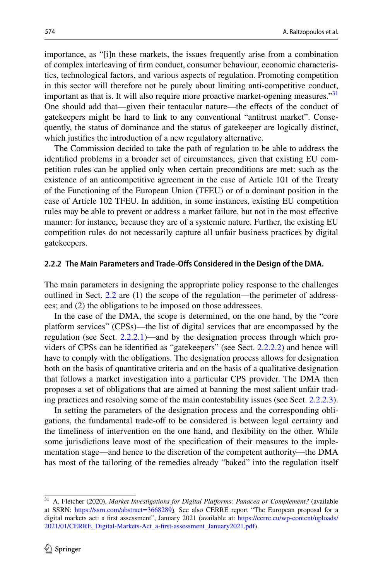importance, as "[i]n these markets, the issues frequently arise from a combination of complex interleaving of frm conduct, consumer behaviour, economic characteristics, technological factors, and various aspects of regulation. Promoting competition in this sector will therefore not be purely about limiting anti-competitive conduct, important as that is. It will also require more proactive market-opening measures."<sup>[31](#page-7-0)</sup> One should add that—given their tentacular nature—the effects of the conduct of gatekeepers might be hard to link to any conventional "antitrust market". Consequently, the status of dominance and the status of gatekeeper are logically distinct, which justifes the introduction of a new regulatory alternative.

The Commission decided to take the path of regulation to be able to address the identifed problems in a broader set of circumstances, given that existing EU competition rules can be applied only when certain preconditions are met: such as the existence of an anticompetitive agreement in the case of Article 101 of the Treaty of the Functioning of the European Union (TFEU) or of a dominant position in the case of Article 102 TFEU. In addition, in some instances, existing EU competition rules may be able to prevent or address a market failure, but not in the most efective manner: for instance, because they are of a systemic nature. Further, the existing EU competition rules do not necessarily capture all unfair business practices by digital gatekeepers.

### **2.2.2 The Main Parameters and Trade‑Ofs Considered in the Design of the DMA.**

The main parameters in designing the appropriate policy response to the challenges outlined in Sect. [2.2](#page-4-0) are (1) the scope of the regulation—the perimeter of addressees; and (2) the obligations to be imposed on those addressees.

In the case of the DMA, the scope is determined, on the one hand, by the "core platform services" (CPSs)—the list of digital services that are encompassed by the regulation (see Sect. [2.2.2.1\)](#page-8-0)—and by the designation process through which providers of CPSs can be identifed as "gatekeepers" (see Sect. [2.2.2.2](#page-9-0)) and hence will have to comply with the obligations. The designation process allows for designation both on the basis of quantitative criteria and on the basis of a qualitative designation that follows a market investigation into a particular CPS provider. The DMA then proposes a set of obligations that are aimed at banning the most salient unfair trading practices and resolving some of the main contestability issues (see Sect. [2.2.2.3\)](#page-10-0).

In setting the parameters of the designation process and the corresponding obligations, the fundamental trade-off to be considered is between legal certainty and the timeliness of intervention on the one hand, and fexibility on the other. While some jurisdictions leave most of the specifcation of their measures to the implementation stage—and hence to the discretion of the competent authority—the DMA has most of the tailoring of the remedies already "baked" into the regulation itself

<span id="page-7-0"></span><sup>31</sup> A. Fletcher (2020), *Market Investigations for Digital Platforms: Panacea or Complement?* (available at SSRN: <https://ssrn.com/abstract=3668289>). See also CERRE report "The European proposal for a digital markets act: a first assessment", January 2021 (available at: [https://cerre.eu/wp-content/uploads/](https://cerre.eu/wp-content/uploads/2021/01/CERRE_Digital-Markets-Act_a-first-assessment_January2021.pdf) [2021/01/CERRE\\_Digital-Markets-Act\\_a-frst-assessment\\_January2021.pdf\)](https://cerre.eu/wp-content/uploads/2021/01/CERRE_Digital-Markets-Act_a-first-assessment_January2021.pdf).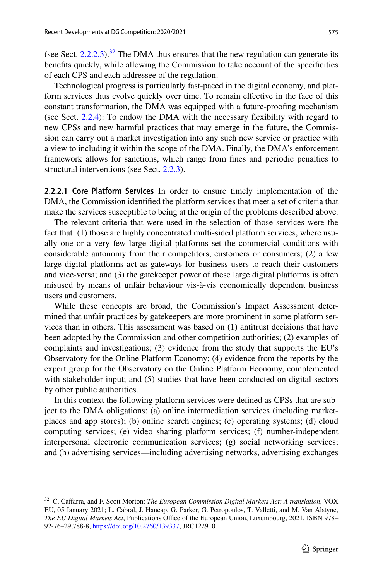(see Sect.  $2.2.2.3$ ).<sup>32</sup> The DMA thus ensures that the new regulation can generate its benefts quickly, while allowing the Commission to take account of the specifcities of each CPS and each addressee of the regulation.

Technological progress is particularly fast-paced in the digital economy, and platform services thus evolve quickly over time. To remain efective in the face of this constant transformation, the DMA was equipped with a future-proofng mechanism (see Sect. [2.2.4\)](#page-13-0): To endow the DMA with the necessary fexibility with regard to new CPSs and new harmful practices that may emerge in the future, the Commission can carry out a market investigation into any such new service or practice with a view to including it within the scope of the DMA. Finally, the DMA's enforcement framework allows for sanctions, which range from fnes and periodic penalties to structural interventions (see Sect. [2.2.3\)](#page-13-1).

<span id="page-8-0"></span>**2.2.2.1 Core Platform Services** In order to ensure timely implementation of the DMA, the Commission identifed the platform services that meet a set of criteria that make the services susceptible to being at the origin of the problems described above.

The relevant criteria that were used in the selection of those services were the fact that: (1) those are highly concentrated multi-sided platform services, where usually one or a very few large digital platforms set the commercial conditions with considerable autonomy from their competitors, customers or consumers; (2) a few large digital platforms act as gateways for business users to reach their customers and vice-versa; and (3) the gatekeeper power of these large digital platforms is often misused by means of unfair behaviour vis-à-vis economically dependent business users and customers.

While these concepts are broad, the Commission's Impact Assessment determined that unfair practices by gatekeepers are more prominent in some platform services than in others. This assessment was based on (1) antitrust decisions that have been adopted by the Commission and other competition authorities; (2) examples of complaints and investigations; (3) evidence from the study that supports the EU's Observatory for the Online Platform Economy; (4) evidence from the reports by the expert group for the Observatory on the Online Platform Economy, complemented with stakeholder input; and  $(5)$  studies that have been conducted on digital sectors by other public authorities.

In this context the following platform services were defned as CPSs that are subject to the DMA obligations: (a) online intermediation services (including marketplaces and app stores); (b) online search engines; (c) operating systems; (d) cloud computing services; (e) video sharing platform services; (f) number-independent interpersonal electronic communication services; (g) social networking services; and (h) advertising services—including advertising networks, advertising exchanges

<span id="page-8-1"></span><sup>32</sup> C. Cafarra, and F. Scott Morton: *The European Commission Digital Markets Act: A translation*, VOX EU, 05 January 2021; L. Cabral, J. Haucap, G. Parker, G. Petropoulos, T. Valletti, and M. Van Alstyne, *The EU Digital Markets Act*, Publications Office of the European Union, Luxembourg, 2021, ISBN 978– 92-76–29,788-8, [https://doi.org/10.2760/139337,](https://doi.org/10.2760/139337) JRC122910.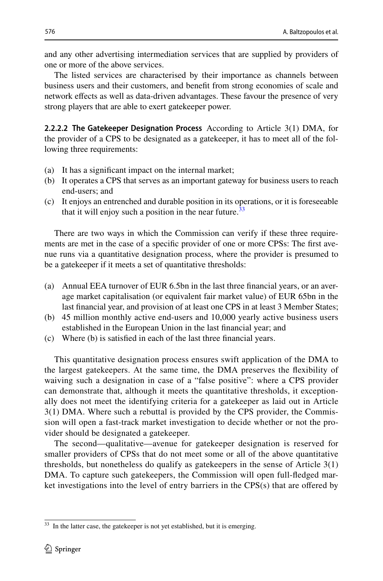and any other advertising intermediation services that are supplied by providers of one or more of the above services.

The listed services are characterised by their importance as channels between business users and their customers, and beneft from strong economies of scale and network efects as well as data-driven advantages. These favour the presence of very strong players that are able to exert gatekeeper power.

<span id="page-9-0"></span>**2.2.2.2 The Gatekeeper Designation Process** According to Article 3(1) DMA, for the provider of a CPS to be designated as a gatekeeper, it has to meet all of the following three requirements:

- (a) It has a signifcant impact on the internal market;
- (b) It operates a CPS that serves as an important gateway for business users to reach end-users; and
- (c) It enjoys an entrenched and durable position in its operations, or it is foreseeable that it will enjoy such a position in the near future.<sup>[33](#page-9-1)</sup>

There are two ways in which the Commission can verify if these three requirements are met in the case of a specifc provider of one or more CPSs: The frst avenue runs via a quantitative designation process, where the provider is presumed to be a gatekeeper if it meets a set of quantitative thresholds:

- (a) Annual EEA turnover of EUR 6.5bn in the last three fnancial years, or an average market capitalisation (or equivalent fair market value) of EUR 65bn in the last fnancial year, and provision of at least one CPS in at least 3 Member States;
- (b) 45 million monthly active end-users and 10,000 yearly active business users established in the European Union in the last fnancial year; and
- (c) Where (b) is satisfed in each of the last three fnancial years.

This quantitative designation process ensures swift application of the DMA to the largest gatekeepers. At the same time, the DMA preserves the fexibility of waiving such a designation in case of a "false positive": where a CPS provider can demonstrate that, although it meets the quantitative thresholds, it exceptionally does not meet the identifying criteria for a gatekeeper as laid out in Article 3(1) DMA. Where such a rebuttal is provided by the CPS provider, the Commission will open a fast-track market investigation to decide whether or not the provider should be designated a gatekeeper.

The second—qualitative—avenue for gatekeeper designation is reserved for smaller providers of CPSs that do not meet some or all of the above quantitative thresholds, but nonetheless do qualify as gatekeepers in the sense of Article 3(1) DMA. To capture such gatekeepers, the Commission will open full-fedged market investigations into the level of entry barriers in the CPS(s) that are ofered by

<span id="page-9-1"></span><sup>&</sup>lt;sup>33</sup> In the latter case, the gatekeeper is not yet established, but it is emerging.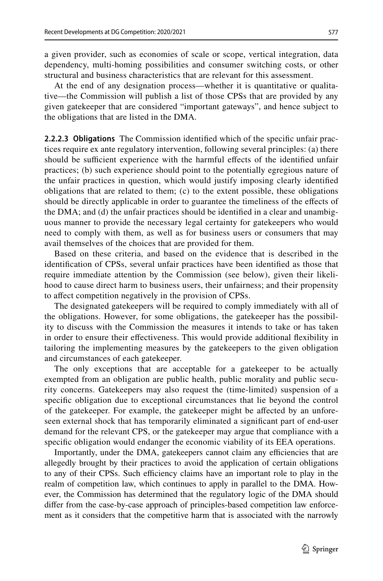a given provider, such as economies of scale or scope, vertical integration, data dependency, multi-homing possibilities and consumer switching costs, or other structural and business characteristics that are relevant for this assessment.

At the end of any designation process—whether it is quantitative or qualitative—the Commission will publish a list of those CPSs that are provided by any given gatekeeper that are considered "important gateways", and hence subject to the obligations that are listed in the DMA.

<span id="page-10-0"></span>**2.2.2.3 Obligations** The Commission identifed which of the specifc unfair practices require ex ante regulatory intervention, following several principles: (a) there should be sufficient experience with the harmful effects of the identified unfair practices; (b) such experience should point to the potentially egregious nature of the unfair practices in question, which would justify imposing clearly identifed obligations that are related to them; (c) to the extent possible, these obligations should be directly applicable in order to guarantee the timeliness of the efects of the DMA; and (d) the unfair practices should be identifed in a clear and unambiguous manner to provide the necessary legal certainty for gatekeepers who would need to comply with them, as well as for business users or consumers that may avail themselves of the choices that are provided for them.

Based on these criteria, and based on the evidence that is described in the identifcation of CPSs, several unfair practices have been identifed as those that require immediate attention by the Commission (see below), given their likelihood to cause direct harm to business users, their unfairness; and their propensity to afect competition negatively in the provision of CPSs.

The designated gatekeepers will be required to comply immediately with all of the obligations. However, for some obligations, the gatekeeper has the possibility to discuss with the Commission the measures it intends to take or has taken in order to ensure their efectiveness. This would provide additional fexibility in tailoring the implementing measures by the gatekeepers to the given obligation and circumstances of each gatekeeper.

The only exceptions that are acceptable for a gatekeeper to be actually exempted from an obligation are public health, public morality and public security concerns. Gatekeepers may also request the (time-limited) suspension of a specifc obligation due to exceptional circumstances that lie beyond the control of the gatekeeper. For example, the gatekeeper might be afected by an unforeseen external shock that has temporarily eliminated a signifcant part of end-user demand for the relevant CPS, or the gatekeeper may argue that compliance with a specifc obligation would endanger the economic viability of its EEA operations.

Importantly, under the DMA, gate keepers cannot claim any efficiencies that are allegedly brought by their practices to avoid the application of certain obligations to any of their CPSs. Such efficiency claims have an important role to play in the realm of competition law, which continues to apply in parallel to the DMA. However, the Commission has determined that the regulatory logic of the DMA should difer from the case-by-case approach of principles-based competition law enforcement as it considers that the competitive harm that is associated with the narrowly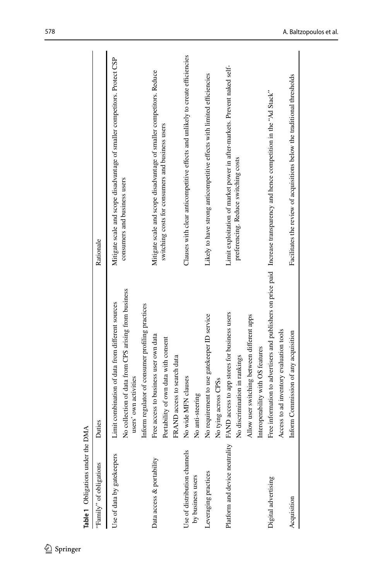| Table 1 Obligations under the DMA                 |                                                                                                                                                                   |                                                                                                                            |
|---------------------------------------------------|-------------------------------------------------------------------------------------------------------------------------------------------------------------------|----------------------------------------------------------------------------------------------------------------------------|
| "Family" of obligations                           | Duties                                                                                                                                                            | Rationale                                                                                                                  |
| Use of data by gatekeepers                        | No collection of data from CPS arising from business<br>Limit combination of data from different sources<br>users' own activities                                 | Mitigate scale and scope disadvantage of smaller competitors. Protect CSP<br>consumers and business users                  |
| Data access & portability                         | Inform regulator of consumer profiling practices<br>Free access to business user own data<br>Portability of own data with consent<br>FRAND access to search data  | Mitigate scale and scope disadvantage of smaller competitors. Reduce<br>switching costs for consumers and business users   |
| Use of distribution channels<br>by business users | No wide MFN clauses<br>No anti-steering                                                                                                                           | Clauses with clear anticompetitive effects and unlikely to create efficiencies                                             |
| Leveraging practices                              | No requirement to use gatekeeper ID service<br>No tying across CPSs                                                                                               | Likely to have strong anticompetitive effects with limited efficiencies                                                    |
| Platform and device neutrality                    | FAND access to app stores for business users<br>Allow user switching between different apps<br>Interoperability with OS features<br>No discrimination in rankings | Limit exploitation of market power in after-markets. Prevent naked self-<br>preferencing. Reduce switching costs           |
| Digital advertising                               | Access to ad inventory evaluation tools                                                                                                                           | Free information to advertisers and publishers on price paid Increase transparency and hence competition in the "Ad Stack" |
| Acquisition                                       | Inform Commission of any acquisition                                                                                                                              | Facilitates the review of acquisitions below the traditional thresholds                                                    |
|                                                   |                                                                                                                                                                   |                                                                                                                            |

<span id="page-11-0"></span>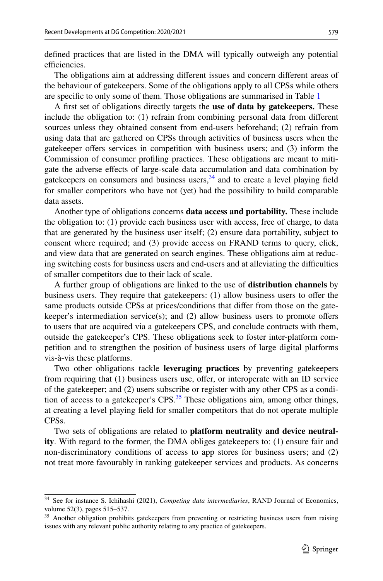defned practices that are listed in the DMA will typically outweigh any potential efficiencies.

The obligations aim at addressing diferent issues and concern diferent areas of the behaviour of gatekeepers. Some of the obligations apply to all CPSs while others are specifc to only some of them. Those obligations are summarised in Table [1](#page-11-0)

A frst set of obligations directly targets the **use of data by gatekeepers.** These include the obligation to: (1) refrain from combining personal data from diferent sources unless they obtained consent from end-users beforehand; (2) refrain from using data that are gathered on CPSs through activities of business users when the gatekeeper offers services in competition with business users; and (3) inform the Commission of consumer profling practices. These obligations are meant to mitigate the adverse efects of large-scale data accumulation and data combination by gatekeepers on consumers and business users,  $34$  and to create a level playing field for smaller competitors who have not (yet) had the possibility to build comparable data assets.

Another type of obligations concerns **data access and portability.** These include the obligation to: (1) provide each business user with access, free of charge, to data that are generated by the business user itself; (2) ensure data portability, subject to consent where required; and (3) provide access on FRAND terms to query, click, and view data that are generated on search engines. These obligations aim at reducing switching costs for business users and end-users and at alleviating the difculties of smaller competitors due to their lack of scale.

A further group of obligations are linked to the use of **distribution channels** by business users. They require that gatekeepers: (1) allow business users to ofer the same products outside CPSs at prices/conditions that difer from those on the gatekeeper's intermediation service(s); and (2) allow business users to promote ofers to users that are acquired via a gatekeepers CPS, and conclude contracts with them, outside the gatekeeper's CPS. These obligations seek to foster inter-platform competition and to strengthen the position of business users of large digital platforms vis-à-vis these platforms.

Two other obligations tackle **leveraging practices** by preventing gatekeepers from requiring that  $(1)$  business users use, offer, or interoperate with an ID service of the gatekeeper; and (2) users subscribe or register with any other CPS as a condition of access to a gate keeper's  $CPS<sup>35</sup>$ . These obligations aim, among other things, at creating a level playing feld for smaller competitors that do not operate multiple CPSs.

Two sets of obligations are related to **platform neutrality and device neutrality**. With regard to the former, the DMA obliges gatekeepers to: (1) ensure fair and non-discriminatory conditions of access to app stores for business users; and (2) not treat more favourably in ranking gatekeeper services and products. As concerns

<span id="page-12-0"></span><sup>34</sup> See for instance S. Ichihashi (2021), *Competing data intermediaries*, RAND Journal of Economics, volume 52(3), pages 515–537.

<span id="page-12-1"></span><sup>&</sup>lt;sup>35</sup> Another obligation prohibits gatekeepers from preventing or restricting business users from raising issues with any relevant public authority relating to any practice of gatekeepers.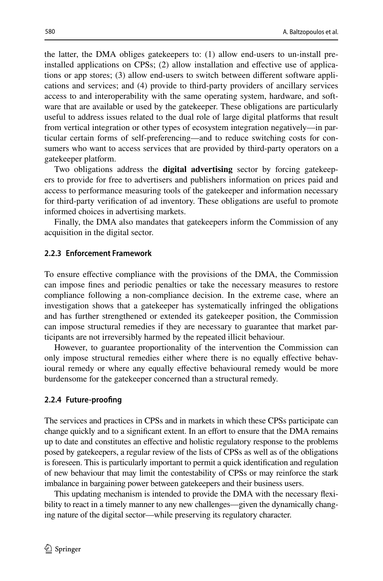the latter, the DMA obliges gatekeepers to: (1) allow end-users to un-install preinstalled applications on CPSs; (2) allow installation and efective use of applications or app stores; (3) allow end-users to switch between diferent software applications and services; and (4) provide to third-party providers of ancillary services access to and interoperability with the same operating system, hardware, and software that are available or used by the gatekeeper. These obligations are particularly useful to address issues related to the dual role of large digital platforms that result from vertical integration or other types of ecosystem integration negatively—in particular certain forms of self-preferencing—and to reduce switching costs for consumers who want to access services that are provided by third-party operators on a gatekeeper platform.

Two obligations address the **digital advertising** sector by forcing gatekeepers to provide for free to advertisers and publishers information on prices paid and access to performance measuring tools of the gatekeeper and information necessary for third-party verifcation of ad inventory. These obligations are useful to promote informed choices in advertising markets.

Finally, the DMA also mandates that gatekeepers inform the Commission of any acquisition in the digital sector.

# <span id="page-13-1"></span>**2.2.3 Enforcement Framework**

To ensure efective compliance with the provisions of the DMA, the Commission can impose fnes and periodic penalties or take the necessary measures to restore compliance following a non-compliance decision. In the extreme case, where an investigation shows that a gatekeeper has systematically infringed the obligations and has further strengthened or extended its gatekeeper position, the Commission can impose structural remedies if they are necessary to guarantee that market participants are not irreversibly harmed by the repeated illicit behaviour.

However, to guarantee proportionality of the intervention the Commission can only impose structural remedies either where there is no equally efective behavioural remedy or where any equally efective behavioural remedy would be more burdensome for the gatekeeper concerned than a structural remedy.

#### <span id="page-13-0"></span>**2.2.4 Future‑proofng**

The services and practices in CPSs and in markets in which these CPSs participate can change quickly and to a significant extent. In an effort to ensure that the DMA remains up to date and constitutes an efective and holistic regulatory response to the problems posed by gatekeepers, a regular review of the lists of CPSs as well as of the obligations is foreseen. This is particularly important to permit a quick identifcation and regulation of new behaviour that may limit the contestability of CPSs or may reinforce the stark imbalance in bargaining power between gatekeepers and their business users.

This updating mechanism is intended to provide the DMA with the necessary fexibility to react in a timely manner to any new challenges—given the dynamically changing nature of the digital sector—while preserving its regulatory character.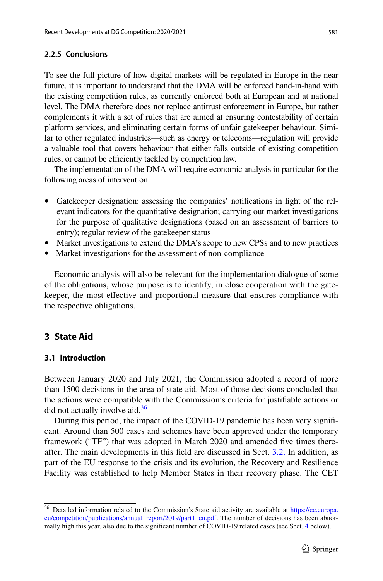## **2.2.5 Conclusions**

To see the full picture of how digital markets will be regulated in Europe in the near future, it is important to understand that the DMA will be enforced hand-in-hand with the existing competition rules, as currently enforced both at European and at national level. The DMA therefore does not replace antitrust enforcement in Europe, but rather complements it with a set of rules that are aimed at ensuring contestability of certain platform services, and eliminating certain forms of unfair gatekeeper behaviour. Similar to other regulated industries—such as energy or telecoms—regulation will provide a valuable tool that covers behaviour that either falls outside of existing competition rules, or cannot be efficiently tackled by competition law.

The implementation of the DMA will require economic analysis in particular for the following areas of intervention:

- Gatekeeper designation: assessing the companies' notifcations in light of the relevant indicators for the quantitative designation; carrying out market investigations for the purpose of qualitative designations (based on an assessment of barriers to entry); regular review of the gatekeeper status
- Market investigations to extend the DMA's scope to new CPSs and to new practices
- Market investigations for the assessment of non-compliance

Economic analysis will also be relevant for the implementation dialogue of some of the obligations, whose purpose is to identify, in close cooperation with the gatekeeper, the most efective and proportional measure that ensures compliance with the respective obligations.

# <span id="page-14-0"></span>**3 State Aid**

#### **3.1 Introduction**

Between January 2020 and July 2021, the Commission adopted a record of more than 1500 decisions in the area of state aid. Most of those decisions concluded that the actions were compatible with the Commission's criteria for justifable actions or did not actually involve aid.<sup>[36](#page-14-1)</sup>

During this period, the impact of the COVID-19 pandemic has been very signifcant. Around than 500 cases and schemes have been approved under the temporary framework ("TF") that was adopted in March 2020 and amended fve times thereafter. The main developments in this feld are discussed in Sect. [3.2.](#page-16-0) In addition, as part of the EU response to the crisis and its evolution, the Recovery and Resilience Facility was established to help Member States in their recovery phase. The CET

<span id="page-14-1"></span><sup>&</sup>lt;sup>36</sup> Detailed information related to the Commission's State aid activity are available at [https://ec.europa.](https://ec.europa.eu/competition/publications/annual_report/2019/part1_en.pdf) [eu/competition/publications/annual\\_report/2019/part1\\_en.pdf](https://ec.europa.eu/competition/publications/annual_report/2019/part1_en.pdf). The number of decisions has been abnormally high this year, also due to the signifcant number of COVID-19 related cases (see Sect. [4](#page-26-0) below).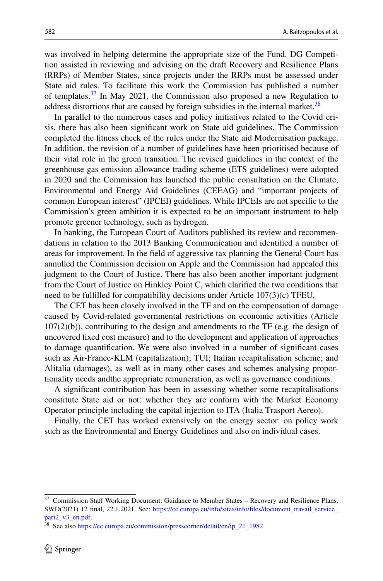was involved in helping determine the appropriate size of the Fund. DG Competition assisted in reviewing and advising on the draft Recovery and Resilience Plans (RRPs) of Member States, since projects under the RRPs must be assessed under State aid rules. To facilitate this work the Commission has published a number of templates. $37$  In May 2021, the Commission also proposed a new Regulation to address distortions that are caused by foreign subsidies in the internal market.<sup>38</sup>

In parallel to the numerous cases and policy initiatives related to the Covid crisis, there has also been signifcant work on State aid guidelines. The Commission completed the ftness check of the rules under the State aid Modernisation package. In addition, the revision of a number of guidelines have been prioritised because of their vital role in the green transition. The revised guidelines in the context of the greenhouse gas emission allowance trading scheme (ETS guidelines) were adopted in 2020 and the Commission has launched the public consultation on the Climate, Environmental and Energy Aid Guidelines (CEEAG) and "important projects of common European interest" (IPCEI) guidelines. While IPCEIs are not specifc to the Commission's green ambition it is expected to be an important instrument to help promote greener technology, such as hydrogen.

In banking, the European Court of Auditors published its review and recommendations in relation to the 2013 Banking Communication and identifed a number of areas for improvement. In the feld of aggressive tax planning the General Court has annulled the Commission decision on Apple and the Commission had appealed this judgment to the Court of Justice. There has also been another important judgment from the Court of Justice on Hinkley Point C, which clarifed the two conditions that need to be fulflled for compatibility decisions under Article 107(3)(c) TFEU.

The CET has been closely involved in the TF and on the compensation of damage caused by Covid-related governmental restrictions on economic activities (Article  $107(2)(b)$ ), contributing to the design and amendments to the TF (e.g. the design of uncovered fxed cost measure) and to the development and application of approaches to damage quantifcation. We were also involved in a number of signifcant cases such as Air-France-KLM (capitalization); TUI; Italian recapitalisation scheme; and Alitalia (damages), as well as in many other cases and schemes analysing proportionality needs andthe appropriate remuneration, as well as governance conditions.

A signifcant contribution has been in assessing whether some recapitalisations constitute State aid or not: whether they are conform with the Market Economy Operator principle including the capital injection to ITA (Italia Trasport Aereo).

Finally, the CET has worked extensively on the energy sector: on policy work such as the Environmental and Energy Guidelines and also on individual cases.

<span id="page-15-0"></span><sup>&</sup>lt;sup>37</sup> Commission Staff Working Document: Guidance to Member States - Recovery and Resilience Plans, SWD(2021) 12 fnal, 22.1.2021. See: [https://ec.europa.eu/info/sites/info/fles/document\\_travail\\_service\\_](https://ec.europa.eu/info/sites/info/files/document_travail_service_part2_v3_en.pdf) [part2\\_v3\\_en.pdf.](https://ec.europa.eu/info/sites/info/files/document_travail_service_part2_v3_en.pdf)

<span id="page-15-1"></span><sup>&</sup>lt;sup>38</sup> See also [https://ec.europa.eu/commission/presscorner/detail/en/ip\\_21\\_1982](https://ec.europa.eu/commission/presscorner/detail/en/ip_21_1982).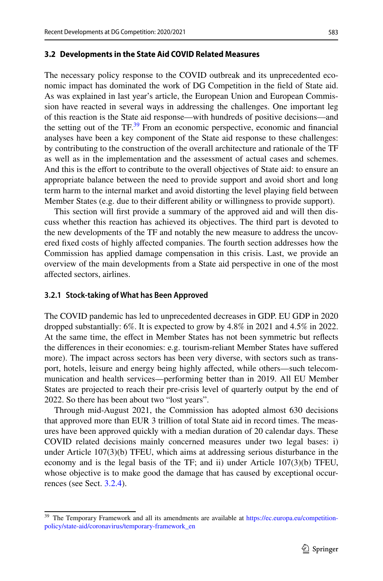#### <span id="page-16-0"></span>**3.2 Developments in the State Aid COVID Related Measures**

The necessary policy response to the COVID outbreak and its unprecedented economic impact has dominated the work of DG Competition in the feld of State aid. As was explained in last year's article, the European Union and European Commission have reacted in several ways in addressing the challenges. One important leg of this reaction is the State aid response—with hundreds of positive decisions—and the setting out of the  $TF<sup>39</sup>$  From an economic perspective, economic and financial analyses have been a key component of the State aid response to these challenges: by contributing to the construction of the overall architecture and rationale of the TF as well as in the implementation and the assessment of actual cases and schemes. And this is the efort to contribute to the overall objectives of State aid: to ensure an appropriate balance between the need to provide support and avoid short and long term harm to the internal market and avoid distorting the level playing feld between Member States (e.g. due to their diferent ability or willingness to provide support).

This section will frst provide a summary of the approved aid and will then discuss whether this reaction has achieved its objectives. The third part is devoted to the new developments of the TF and notably the new measure to address the uncovered fxed costs of highly afected companies. The fourth section addresses how the Commission has applied damage compensation in this crisis. Last, we provide an overview of the main developments from a State aid perspective in one of the most afected sectors, airlines.

#### **3.2.1 Stock‑taking of What has Been Approved**

The COVID pandemic has led to unprecedented decreases in GDP. EU GDP in 2020 dropped substantially: 6%. It is expected to grow by 4.8% in 2021 and 4.5% in 2022. At the same time, the efect in Member States has not been symmetric but refects the diferences in their economies: e.g. tourism-reliant Member States have sufered more). The impact across sectors has been very diverse, with sectors such as transport, hotels, leisure and energy being highly afected, while others—such telecommunication and health services—performing better than in 2019. All EU Member States are projected to reach their pre-crisis level of quarterly output by the end of 2022. So there has been about two "lost years".

Through mid-August 2021, the Commission has adopted almost 630 decisions that approved more than EUR 3 trillion of total State aid in record times. The measures have been approved quickly with a median duration of 20 calendar days. These COVID related decisions mainly concerned measures under two legal bases: i) under Article 107(3)(b) TFEU, which aims at addressing serious disturbance in the economy and is the legal basis of the TF; and ii) under Article 107(3)(b) TFEU, whose objective is to make good the damage that has caused by exceptional occurrences (see Sect. [3.2.4\)](#page-21-0).

<span id="page-16-1"></span><sup>&</sup>lt;sup>39</sup> The Temporary Framework and all its amendments are available at [https://ec.europa.eu/competition](https://ec.europa.eu/competition-policy/state-aid/coronavirus/temporary-framework_en)[policy/state-aid/coronavirus/temporary-framework\\_en](https://ec.europa.eu/competition-policy/state-aid/coronavirus/temporary-framework_en)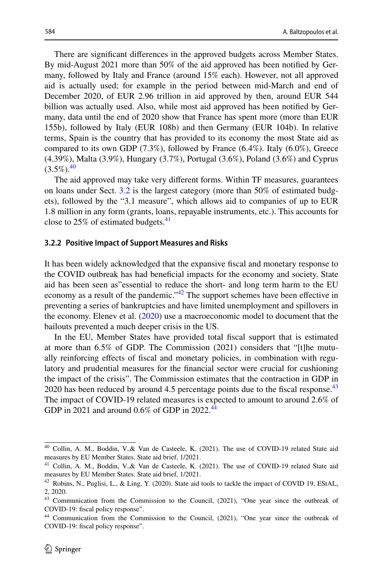There are signifcant diferences in the approved budgets across Member States. By mid-August 2021 more than 50% of the aid approved has been notifed by Germany, followed by Italy and France (around 15% each). However, not all approved aid is actually used; for example in the period between mid-March and end of December 2020, of EUR 2.96 trillion in aid approved by then, around EUR 544 billion was actually used. Also, while most aid approved has been notifed by Germany, data until the end of 2020 show that France has spent more (more than EUR 155b), followed by Italy (EUR 108b) and then Germany (EUR 104b). In relative terms, Spain is the country that has provided to its economy the most State aid as compared to its own GDP (7.3%), followed by France (6.4%). Italy (6.0%), Greece (4.39%), Malta (3.9%), Hungary (3.7%), Portugal (3.6%), Poland (3.6%) and Cyprus  $(3.5\%)$ <sup>[40](#page-17-0)</sup>

The aid approved may take very diferent forms. Within TF measures, guarantees on loans under Sect. [3.2](#page-16-0) is the largest category (more than 50% of estimated budgets), followed by the "3.1 measure", which allows aid to companies of up to EUR 1.8 million in any form (grants, loans, repayable instruments, etc.). This accounts for close to  $25\%$  of estimated budgets.<sup>[41](#page-17-1)</sup>

#### **3.2.2 Positive Impact of Support Measures and Risks**

It has been widely acknowledged that the expansive fscal and monetary response to the COVID outbreak has had benefcial impacts for the economy and society. State aid has been seen as"essential to reduce the short- and long term harm to the EU economy as a result of the pandemic."<sup>[42](#page-17-2)</sup> The support schemes have been effective in preventing a series of bankruptcies and have limited unemployment and spillovers in the economy. Elenev et al. ([2020\)](#page-31-0) use a macroeconomic model to document that the bailouts prevented a much deeper crisis in the US.

In the EU, Member States have provided total fscal support that is estimated at more than 6.5% of GDP. The Commission (2021) considers that "[t]he mutually reinforcing efects of fscal and monetary policies, in combination with regulatory and prudential measures for the fnancial sector were crucial for cushioning the impact of the crisis". The Commission estimates that the contraction in GDP in 2020 has been reduced by around 4.5 percentage points due to the fiscal response.<sup>[43](#page-17-3)</sup> The impact of COVID-19 related measures is expected to amount to around 2.6% of GDP in 2021 and around 0.6% of GDP in 2022.<sup>44</sup>

<span id="page-17-0"></span><sup>40</sup> Collin, A. M., Boddin, V.,& Van de Casteele, K. (2021). The use of COVID-19 related State aid measures by EU Member States. State aid brief, 1/2021.

<span id="page-17-1"></span><sup>&</sup>lt;sup>41</sup> Collin, A. M., Boddin, V., & Van de Casteele, K. (2021). The use of COVID-19 related State aid measures by EU Member States. State aid brief, 1/2021.

<span id="page-17-2"></span><sup>&</sup>lt;sup>42</sup> Robins, N., Puglisi, L., & Ling, Y. (2020). State aid tools to tackle the impact of COVID 19, EStAL, 2, 2020.

<span id="page-17-3"></span><sup>&</sup>lt;sup>43</sup> Communication from the Commission to the Council, (2021), "One year since the outbreak of COVID-19: fscal policy response".

<span id="page-17-4"></span><sup>44</sup> Communication from the Commission to the Council, (2021), "One year since the outbreak of COVID-19: fscal policy response".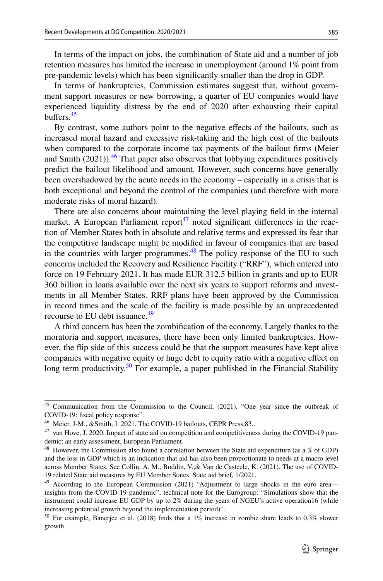In terms of the impact on jobs, the combination of State aid and a number of job retention measures has limited the increase in unemployment (around 1% point from pre-pandemic levels) which has been signifcantly smaller than the drop in GDP.

In terms of bankruptcies, Commission estimates suggest that, without government support measures or new borrowing, a quarter of EU companies would have experienced liquidity distress by the end of 2020 after exhausting their capital buffers. $45$ 

By contrast, some authors point to the negative efects of the bailouts, such as increased moral hazard and excessive risk-taking and the high cost of the bailouts when compared to the corporate income tax payments of the bailout frms (Meier and Smith (2021)).<sup>[46](#page-18-1)</sup> That paper also observes that lobbying expenditures positively predict the bailout likelihood and amount. However, such concerns have generally been overshadowed by the acute needs in the economy – especially in a crisis that is both exceptional and beyond the control of the companies (and therefore with more moderate risks of moral hazard).

There are also concerns about maintaining the level playing feld in the internal market. A European Parliament report<sup>47</sup> noted significant differences in the reaction of Member States both in absolute and relative terms and expressed its fear that the competitive landscape might be modifed in favour of companies that are based in the countries with larger programmes. $48$  The policy response of the EU to such concerns included the Recovery and Resilience Facility ("RRF"), which entered into force on 19 February 2021. It has made EUR 312.5 billion in grants and up to EUR 360 billion in loans available over the next six years to support reforms and investments in all Member States. RRF plans have been approved by the Commission in record times and the scale of the facility is made possible by an unprecedented recourse to EU debt issuance.<sup>[49](#page-18-4)</sup>

A third concern has been the zombifcation of the economy. Largely thanks to the moratoria and support measures, there have been only limited bankruptcies. However, the fip side of this success could be that the support measures have kept alive companies with negative equity or huge debt to equity ratio with a negative efect on long term productivity.<sup>50</sup> For example, a paper published in the Financial Stability

<span id="page-18-0"></span><sup>45</sup> Communication from the Commission to the Council, (2021), "One year since the outbreak of COVID-19: fscal policy response".

<span id="page-18-1"></span><sup>&</sup>lt;sup>46</sup> Meier, J-M., &Smith, J. 2021. The COVID-19 bailouts, CEPR Press, 83...

<span id="page-18-2"></span><sup>&</sup>lt;sup>47</sup> van Hove, J. 2020. Impact of state aid on competition and competitiveness during the COVID-19 pandemic: an early assessment, European Parliament.

<span id="page-18-3"></span><sup>48</sup> However, the Commission also found a correlation between the State aid expenditure (as a % of GDP) and the loss in GDP which is an indication that aid has also been proportionate to needs at a macro level across Member States. See Collin, A. M., Boddin, V.,& Van de Casteele, K. (2021). The use of COVID-19 related State aid measures by EU Member States. State aid brief, 1/2021.

<span id="page-18-4"></span><sup>&</sup>lt;sup>49</sup> According to the European Commission (2021) "Adjustment to large shocks in the euro area insights from the COVID-19 pandemic", technical note for the Eurogroup: "Simulations show that the instrument could increase EU GDP by up to 2% during the years of NGEU's active operation16 (while increasing potential growth beyond the implementation period)".

<span id="page-18-5"></span><sup>&</sup>lt;sup>50</sup> For example, Banerjee et al. (2018) finds that a 1% increase in zombie share leads to 0.3% slower growth.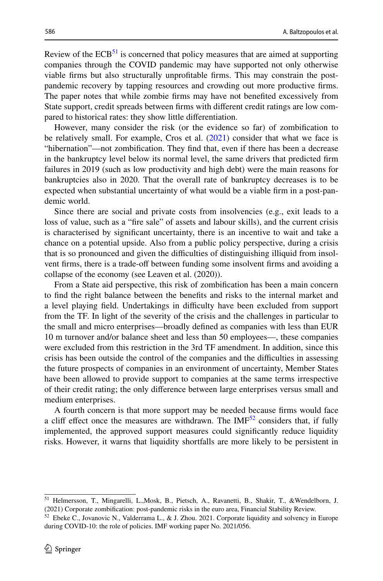Review of the  $ECB<sup>51</sup>$  is concerned that policy measures that are aimed at supporting companies through the COVID pandemic may have supported not only otherwise viable frms but also structurally unproftable frms. This may constrain the postpandemic recovery by tapping resources and crowding out more productive frms. The paper notes that while zombie frms may have not benefted excessively from State support, credit spreads between frms with diferent credit ratings are low compared to historical rates: they show little diferentiation.

However, many consider the risk (or the evidence so far) of zombifcation to be relatively small. For example, Cros et al. [\(2021](#page-30-0)) consider that what we face is "hibernation"—not zombifcation. They fnd that, even if there has been a decrease in the bankruptcy level below its normal level, the same drivers that predicted frm failures in 2019 (such as low productivity and high debt) were the main reasons for bankruptcies also in 2020. That the overall rate of bankruptcy decreases is to be expected when substantial uncertainty of what would be a viable frm in a post-pandemic world.

Since there are social and private costs from insolvencies (e.g., exit leads to a loss of value, such as a "fre sale" of assets and labour skills), and the current crisis is characterised by signifcant uncertainty, there is an incentive to wait and take a chance on a potential upside. Also from a public policy perspective, during a crisis that is so pronounced and given the difculties of distinguishing illiquid from insolvent frms, there is a trade-of between funding some insolvent frms and avoiding a collapse of the economy (see Leaven et al. (2020)).

From a State aid perspective, this risk of zombifcation has been a main concern to fnd the right balance between the benefts and risks to the internal market and a level playing field. Undertakings in difficulty have been excluded from support from the TF. In light of the severity of the crisis and the challenges in particular to the small and micro enterprises—broadly defned as companies with less than EUR 10 m turnover and/or balance sheet and less than 50 employees—, these companies were excluded from this restriction in the 3rd TF amendment. In addition, since this crisis has been outside the control of the companies and the difculties in assessing the future prospects of companies in an environment of uncertainty, Member States have been allowed to provide support to companies at the same terms irrespective of their credit rating; the only diference between large enterprises versus small and medium enterprises.

A fourth concern is that more support may be needed because frms would face a cliff effect once the measures are withdrawn. The  $IMF<sup>52</sup>$  $IMF<sup>52</sup>$  $IMF<sup>52</sup>$  considers that, if fully implemented, the approved support measures could signifcantly reduce liquidity risks. However, it warns that liquidity shortfalls are more likely to be persistent in

<span id="page-19-0"></span><sup>51</sup> Helmersson, T., Mingarelli, L.,Mosk, B., Pietsch, A., Ravanetti, B., Shakir, T., &Wendelborn, J. (2021) Corporate zombifcation: post-pandemic risks in the euro area, Financial Stability Review.

<span id="page-19-1"></span> $52$  Ebeke C., Jovanovic N., Valderrama L., & J. Zhou. 2021. Corporate liquidity and solvency in Europe during COVID-10: the role of policies. IMF working paper No. 2021/056.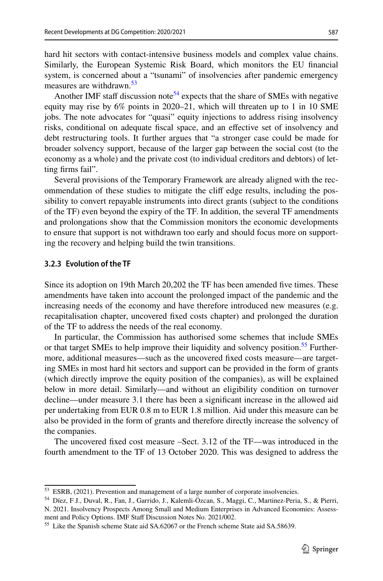hard hit sectors with contact-intensive business models and complex value chains. Similarly, the European Systemic Risk Board, which monitors the EU fnancial system, is concerned about a "tsunami" of insolvencies after pandemic emergency measures are withdrawn.<sup>53</sup>

Another IMF staff discussion note<sup>54</sup> expects that the share of SMEs with negative equity may rise by 6% points in 2020–21, which will threaten up to 1 in 10 SME jobs. The note advocates for "quasi" equity injections to address rising insolvency risks, conditional on adequate fscal space, and an efective set of insolvency and debt restructuring tools. It further argues that "a stronger case could be made for broader solvency support, because of the larger gap between the social cost (to the economy as a whole) and the private cost (to individual creditors and debtors) of letting frms fail".

Several provisions of the Temporary Framework are already aligned with the recommendation of these studies to mitigate the clif edge results, including the possibility to convert repayable instruments into direct grants (subject to the conditions of the TF) even beyond the expiry of the TF. In addition, the several TF amendments and prolongations show that the Commission monitors the economic developments to ensure that support is not withdrawn too early and should focus more on supporting the recovery and helping build the twin transitions.

# **3.2.3 Evolution of the TF**

Since its adoption on 19th March 20,202 the TF has been amended fve times. These amendments have taken into account the prolonged impact of the pandemic and the increasing needs of the economy and have therefore introduced new measures (e.g. recapitalisation chapter, uncovered fxed costs chapter) and prolonged the duration of the TF to address the needs of the real economy.

In particular, the Commission has authorised some schemes that include SMEs or that target SMEs to help improve their liquidity and solvency position.<sup>55</sup> Furthermore, additional measures—such as the uncovered fxed costs measure—are targeting SMEs in most hard hit sectors and support can be provided in the form of grants (which directly improve the equity position of the companies), as will be explained below in more detail. Similarly—and without an eligibility condition on turnover decline—under measure 3.1 there has been a signifcant increase in the allowed aid per undertaking from EUR 0.8 m to EUR 1.8 million. Aid under this measure can be also be provided in the form of grants and therefore directly increase the solvency of the companies.

The uncovered fxed cost measure –Sect. 3.12 of the TF—was introduced in the fourth amendment to the TF of 13 October 2020. This was designed to address the

<span id="page-20-0"></span><sup>53</sup> ESRB, (2021). Prevention and management of a large number of corporate insolvencies.

<span id="page-20-1"></span><sup>54</sup> Díez, F J., Duval, R., Fan, J., Garrido, J., Kalemli-Özcan, S., Maggi, C., Martinez-Peria, S., & Pierri, N. 2021. Insolvency Prospects Among Small and Medium Enterprises in Advanced Economies: Assessment and Policy Options. IMF Staff Discussion Notes No. 2021/002.

<span id="page-20-2"></span><sup>55</sup> Like the Spanish scheme State aid SA.62067 or the French scheme State aid SA.58639.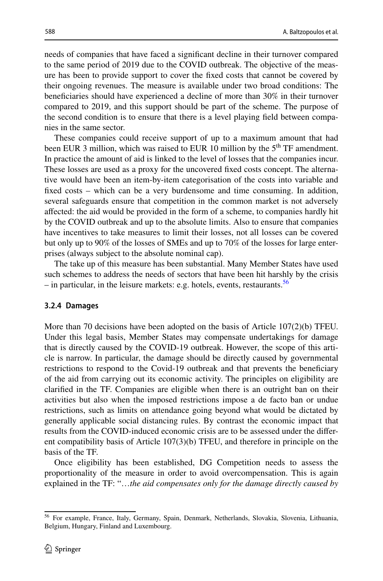needs of companies that have faced a signifcant decline in their turnover compared to the same period of 2019 due to the COVID outbreak. The objective of the measure has been to provide support to cover the fxed costs that cannot be covered by their ongoing revenues. The measure is available under two broad conditions: The benefciaries should have experienced a decline of more than 30% in their turnover compared to 2019, and this support should be part of the scheme. The purpose of the second condition is to ensure that there is a level playing feld between companies in the same sector.

These companies could receive support of up to a maximum amount that had been EUR 3 million, which was raised to EUR 10 million by the  $5<sup>th</sup> TF$  amendment. In practice the amount of aid is linked to the level of losses that the companies incur. These losses are used as a proxy for the uncovered fxed costs concept. The alternative would have been an item-by-item categorisation of the costs into variable and fxed costs – which can be a very burdensome and time consuming. In addition, several safeguards ensure that competition in the common market is not adversely afected: the aid would be provided in the form of a scheme, to companies hardly hit by the COVID outbreak and up to the absolute limits. Also to ensure that companies have incentives to take measures to limit their losses, not all losses can be covered but only up to 90% of the losses of SMEs and up to 70% of the losses for large enterprises (always subject to the absolute nominal cap).

The take up of this measure has been substantial. Many Member States have used such schemes to address the needs of sectors that have been hit harshly by the crisis – in particular, in the leisure markets: e.g. hotels, events, restaurants.<sup>[56](#page-21-1)</sup>

#### <span id="page-21-0"></span>**3.2.4 Damages**

More than 70 decisions have been adopted on the basis of Article 107(2)(b) TFEU. Under this legal basis, Member States may compensate undertakings for damage that is directly caused by the COVID-19 outbreak. However, the scope of this article is narrow. In particular, the damage should be directly caused by governmental restrictions to respond to the Covid-19 outbreak and that prevents the benefciary of the aid from carrying out its economic activity. The principles on eligibility are clarifed in the TF. Companies are eligible when there is an outright ban on their activities but also when the imposed restrictions impose a de facto ban or undue restrictions, such as limits on attendance going beyond what would be dictated by generally applicable social distancing rules. By contrast the economic impact that results from the COVID-induced economic crisis are to be assessed under the diferent compatibility basis of Article 107(3)(b) TFEU, and therefore in principle on the basis of the TF.

Once eligibility has been established, DG Competition needs to assess the proportionality of the measure in order to avoid overcompensation. This is again explained in the TF: "…*the aid compensates only for the damage directly caused by* 

<span id="page-21-1"></span><sup>56</sup> For example, France, Italy, Germany, Spain, Denmark, Netherlands, Slovakia, Slovenia, Lithuania, Belgium, Hungary, Finland and Luxembourg.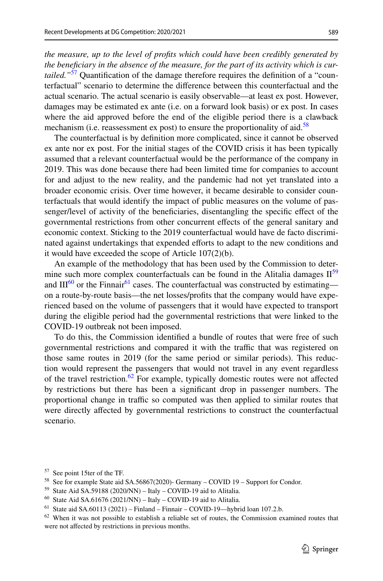*the measure, up to the level of profts which could have been credibly generated by the benefciary in the absence of the measure, for the part of its activity which is curtailed."*[57](#page-22-0) Quantifcation of the damage therefore requires the defnition of a "counterfactual" scenario to determine the diference between this counterfactual and the actual scenario. The actual scenario is easily observable—at least ex post. However, damages may be estimated ex ante (i.e. on a forward look basis) or ex post. In cases where the aid approved before the end of the eligible period there is a clawback mechanism (i.e. reassessment ex post) to ensure the proportionality of aid.<sup>[58](#page-22-1)</sup>

The counterfactual is by defnition more complicated, since it cannot be observed ex ante nor ex post. For the initial stages of the COVID crisis it has been typically assumed that a relevant counterfactual would be the performance of the company in 2019. This was done because there had been limited time for companies to account for and adjust to the new reality, and the pandemic had not yet translated into a broader economic crisis. Over time however, it became desirable to consider counterfactuals that would identify the impact of public measures on the volume of passenger/level of activity of the benefciaries, disentangling the specifc efect of the governmental restrictions from other concurrent efects of the general sanitary and economic context. Sticking to the 2019 counterfactual would have de facto discriminated against undertakings that expended eforts to adapt to the new conditions and it would have exceeded the scope of Article 107(2)(b).

An example of the methodology that has been used by the Commission to determine such more complex counterfactuals can be found in the Alitalia damages  $II^{59}$ and  $III^{60}$  or the Finnair<sup>61</sup> cases. The counterfactual was constructed by estimating on a route-by-route basis—the net losses/profts that the company would have experienced based on the volume of passengers that it would have expected to transport during the eligible period had the governmental restrictions that were linked to the COVID-19 outbreak not been imposed.

To do this, the Commission identifed a bundle of routes that were free of such governmental restrictions and compared it with the traffic that was registered on those same routes in 2019 (for the same period or similar periods). This reduction would represent the passengers that would not travel in any event regardless of the travel restriction.<sup>62</sup> For example, typically domestic routes were not affected by restrictions but there has been a signifcant drop in passenger numbers. The proportional change in traffic so computed was then applied to similar routes that were directly afected by governmental restrictions to construct the counterfactual scenario.

<span id="page-22-0"></span><sup>57</sup> See point 15ter of the TF.

<span id="page-22-1"></span><sup>58</sup> See for example State aid SA.56867(2020)- Germany – COVID 19 – Support for Condor.

<span id="page-22-2"></span><sup>59</sup> State Aid SA.59188 (2020/NN) – Italy – COVID-19 aid to Alitalia.

<span id="page-22-3"></span> $^{60}$  State Aid SA.61676 (2021/NN) – Italy – COVID-19 aid to Alitalia.

<span id="page-22-4"></span> $61$  State aid SA.60113 (2021) – Finland – Finnair – COVID-19—hybrid loan 107.2.b.

<span id="page-22-5"></span> $62$  When it was not possible to establish a reliable set of routes, the Commission examined routes that were not afected by restrictions in previous months.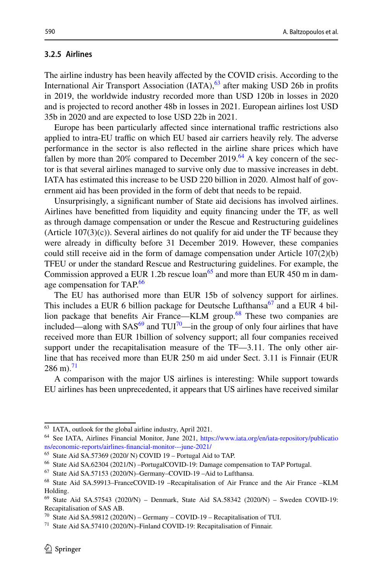# **3.2.5 Airlines**

The airline industry has been heavily affected by the COVID crisis. According to the International Air Transport Association  $(IATA)$ ,  $^{63}$  $^{63}$  $^{63}$  after making USD 26b in profits in 2019, the worldwide industry recorded more than USD 120b in losses in 2020 and is projected to record another 48b in losses in 2021. European airlines lost USD 35b in 2020 and are expected to lose USD 22b in 2021.

Europe has been particularly affected since international traffic restrictions also applied to intra-EU traffic on which EU based air carriers heavily rely. The adverse performance in the sector is also refected in the airline share prices which have fallen by more than 20% compared to December 2019.<sup>64</sup> A key concern of the sector is that several airlines managed to survive only due to massive increases in debt. IATA has estimated this increase to be USD 220 billion in 2020. Almost half of government aid has been provided in the form of debt that needs to be repaid.

Unsurprisingly, a signifcant number of State aid decisions has involved airlines. Airlines have beneftted from liquidity and equity fnancing under the TF, as well as through damage compensation or under the Rescue and Restructuring guidelines (Article  $107(3)(c)$ ). Several airlines do not qualify for aid under the TF because they were already in difficulty before 31 December 2019. However, these companies could still receive aid in the form of damage compensation under Article  $107(2)(b)$ TFEU or under the standard Rescue and Restructuring guidelines. For example, the Commission approved a EUR 1.2b rescue  $\alpha$  and more than EUR 450 m in damage compensation for TAP.<sup>66</sup>

The EU has authorised more than EUR 15b of solvency support for airlines. This includes a EUR 6 billion package for Deutsche Lufthansa<sup>67</sup> and a EUR 4 bil-lion package that benefits Air France—KLM group.<sup>[68](#page-23-5)</sup> These two companies are included—along with  $SAS^{69}$  and  $TUI^{70}$ —in the group of only four airlines that have received more than EUR 1billion of solvency support; all four companies received support under the recapitalisation measure of the TF—3.11. The only other airline that has received more than EUR 250 m aid under Sect. 3.11 is Finnair (EUR  $286 \text{ m}$ .<sup>71</sup>

A comparison with the major US airlines is interesting: While support towards EU airlines has been unprecedented, it appears that US airlines have received similar

<span id="page-23-0"></span><sup>63</sup> IATA, outlook for the global airline industry, April 2021.

<span id="page-23-1"></span><sup>64</sup> See IATA, Airlines Financial Monitor, June 2021, [https://www.iata.org/en/iata-repository/publicatio](https://www.iata.org/en/iata-repository/publications/economic-reports/airlines-financial-monitor---june-2021/) [ns/economic-reports/airlines-fnancial-monitor---june-2021/](https://www.iata.org/en/iata-repository/publications/economic-reports/airlines-financial-monitor---june-2021/)

<span id="page-23-2"></span><sup>65</sup> State Aid SA.57369 (2020/ N) COVID 19 – Portugal Aid to TAP.

<span id="page-23-3"></span><sup>66</sup> State Aid SA.62304 (2021/N) –PortugalCOVID-19: Damage compensation to TAP Portugal.

<span id="page-23-4"></span><sup>67</sup> State Aid SA.57153 (2020/N)–Germany–COVID-19 –Aid to Lufthansa.

<span id="page-23-5"></span><sup>68</sup> State Aid SA.59913–FranceCOVID-19 –Recapitalisation of Air France and the Air France –KLM Holding.

<span id="page-23-6"></span><sup>69</sup> State Aid SA.57543 (2020/N) – Denmark, State Aid SA.58342 (2020/N) – Sweden COVID-19: Recapitalisation of SAS AB.

<span id="page-23-7"></span><sup>&</sup>lt;sup>70</sup> State Aid SA.59812 (2020/N) – Germany – COVID-19 – Recapitalisation of TUI.

<span id="page-23-8"></span><sup>&</sup>lt;sup>71</sup> State Aid SA.57410 (2020/N)–Finland COVID-19: Recapitalisation of Finnair.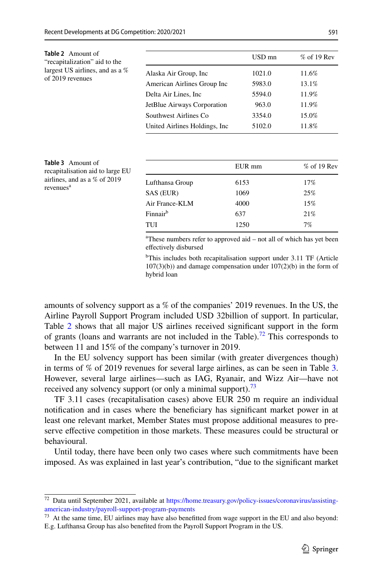<span id="page-24-0"></span>

| <b>Table 2</b> Amount of<br>"recapitalization" aid to the<br>largest US airlines, and as a %<br>of 2019 revenues |                                | USD mn | $%$ of 19 Rev |
|------------------------------------------------------------------------------------------------------------------|--------------------------------|--------|---------------|
|                                                                                                                  | Alaska Air Group, Inc.         | 1021.0 | 11.6%         |
|                                                                                                                  | American Airlines Group Inc    | 5983.0 | 13.1%         |
|                                                                                                                  | Delta Air Lines, Inc.          | 5594.0 | 11.9%         |
|                                                                                                                  | JetBlue Airways Corporation    | 963.0  | 11.9%         |
|                                                                                                                  | Southwest Airlines Co.         | 3354.0 | 15.0%         |
|                                                                                                                  | United Airlines Holdings, Inc. | 5102.0 | 11.8%         |
|                                                                                                                  |                                |        |               |

<span id="page-24-2"></span>

| <b>Table 3</b> Amount of<br>recapitalisation aid to large EU<br>airlines, and as a $%$ of 2019<br>revenues <sup>a</sup> |                              | EUR mm       | $%$ of 19 Rev |
|-------------------------------------------------------------------------------------------------------------------------|------------------------------|--------------|---------------|
|                                                                                                                         | Lufthansa Group<br>SAS (EUR) | 6153<br>1069 | 17%<br>25%    |
|                                                                                                                         | Air France-KLM               | 4000         | 15%           |
|                                                                                                                         | Finnair <sup>b</sup>         | 637          | 21%           |
|                                                                                                                         | TUI                          | 1250         | 7%            |

a These numbers refer to approved aid – not all of which has yet been efectively disbursed

b This includes both recapitalisation support under 3.11 TF (Article  $107(3)(b)$  and damage compensation under  $107(2)(b)$  in the form of hybrid loan

amounts of solvency support as a % of the companies' 2019 revenues. In the US, the Airline Payroll Support Program included USD 32billion of support. In particular, Table [2](#page-24-0) shows that all major US airlines received signifcant support in the form of grants (loans and warrants are not included in the Table).<sup>72</sup> This corresponds to between 11 and 15% of the company's turnover in 2019.

In the EU solvency support has been similar (with greater divergences though) in terms of % of 2019 revenues for several large airlines, as can be seen in Table [3.](#page-24-2) However, several large airlines—such as IAG, Ryanair, and Wizz Air—have not received any solvency support (or only a minimal support).<sup>73</sup>

TF 3.11 cases (recapitalisation cases) above EUR 250 m require an individual notifcation and in cases where the benefciary has signifcant market power in at least one relevant market, Member States must propose additional measures to preserve efective competition in those markets. These measures could be structural or behavioural.

Until today, there have been only two cases where such commitments have been imposed. As was explained in last year's contribution, "due to the signifcant market

<span id="page-24-1"></span><sup>72</sup> Data until September 2021, available at [https://home.treasury.gov/policy-issues/coronavirus/assisting](https://home.treasury.gov/policy-issues/coronavirus/assisting-american-industry/payroll-support-program-payments)[american-industry/payroll-support-program-payments](https://home.treasury.gov/policy-issues/coronavirus/assisting-american-industry/payroll-support-program-payments)

<span id="page-24-3"></span> $73$  At the same time, EU airlines may have also benefitted from wage support in the EU and also beyond: E.g. Lufthansa Group has also benefted from the Payroll Support Program in the US.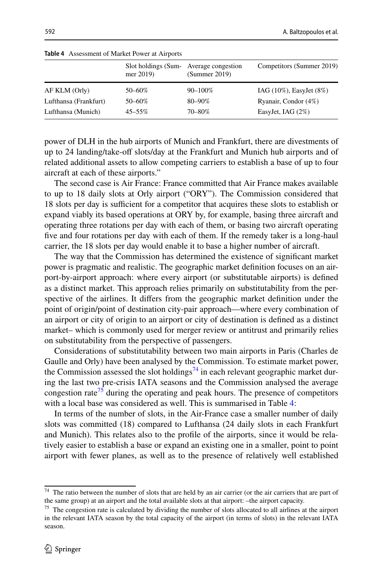|                       | Slot holdings (Sum-<br>mer 2019) | Average congestion<br>(Summer 2019) | Competitors (Summer 2019)      |
|-----------------------|----------------------------------|-------------------------------------|--------------------------------|
| AF KLM (Orly)         | 50–60%                           | 90-100%                             | $IAG (10\%)$ , EasyJet $(8\%)$ |
| Lufthansa (Frankfurt) | 50-60%                           | $80 - 90\%$                         | Ryanair, Condor (4%)           |
| Lufthansa (Munich)    | $45 - 55\%$                      | 70-80%                              | EasyJet, IAG $(2%)$            |

<span id="page-25-2"></span>**Table 4** Assessment of Market Power at Airports

power of DLH in the hub airports of Munich and Frankfurt, there are divestments of up to 24 landing/take-of slots/day at the Frankfurt and Munich hub airports and of related additional assets to allow competing carriers to establish a base of up to four aircraft at each of these airports."

The second case is Air France: France committed that Air France makes available to up to 18 daily slots at Orly airport ("ORY"). The Commission considered that 18 slots per day is sufficient for a competitor that acquires these slots to establish or expand viably its based operations at ORY by, for example, basing three aircraft and operating three rotations per day with each of them, or basing two aircraft operating fve and four rotations per day with each of them. If the remedy taker is a long-haul carrier, the 18 slots per day would enable it to base a higher number of aircraft.

The way that the Commission has determined the existence of signifcant market power is pragmatic and realistic. The geographic market defnition focuses on an airport-by-airport approach: where every airport (or substitutable airports) is defned as a distinct market. This approach relies primarily on substitutability from the perspective of the airlines. It difers from the geographic market defnition under the point of origin/point of destination city-pair approach—where every combination of an airport or city of origin to an airport or city of destination is defned as a distinct market– which is commonly used for merger review or antitrust and primarily relies on substitutability from the perspective of passengers.

Considerations of substitutability between two main airports in Paris (Charles de Gaulle and Orly) have been analysed by the Commission. To estimate market power, the Commission assessed the slot holdings<sup>74</sup> in each relevant geographic market during the last two pre-crisis IATA seasons and the Commission analysed the average congestion rate<sup>75</sup> during the operating and peak hours. The presence of competitors with a local base was considered as well. This is summarised in Table [4:](#page-25-2)

In terms of the number of slots, in the Air-France case a smaller number of daily slots was committed (18) compared to Lufthansa (24 daily slots in each Frankfurt and Munich). This relates also to the profle of the airports, since it would be relatively easier to establish a base or expand an existing one in a smaller, point to point airport with fewer planes, as well as to the presence of relatively well established

<span id="page-25-0"></span><sup>&</sup>lt;sup>74</sup> The ratio between the number of slots that are held by an air carrier (or the air carriers that are part of the same group) at an airport and the total available slots at that airport: –the airport capacity.

<span id="page-25-1"></span><sup>&</sup>lt;sup>75</sup> The congestion rate is calculated by dividing the number of slots allocated to all airlines at the airport in the relevant IATA season by the total capacity of the airport (in terms of slots) in the relevant IATA season.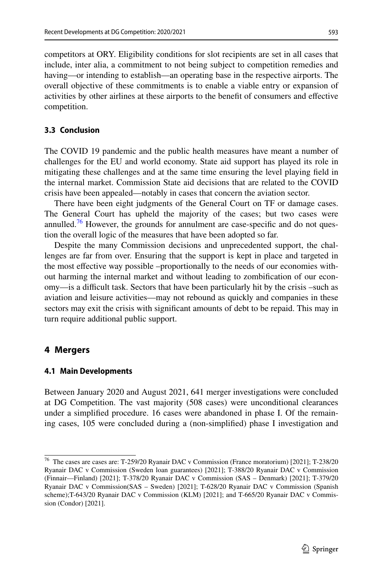competitors at ORY. Eligibility conditions for slot recipients are set in all cases that include, inter alia, a commitment to not being subject to competition remedies and having—or intending to establish—an operating base in the respective airports. The overall objective of these commitments is to enable a viable entry or expansion of activities by other airlines at these airports to the beneft of consumers and efective competition.

# **3.3 Conclusion**

The COVID 19 pandemic and the public health measures have meant a number of challenges for the EU and world economy. State aid support has played its role in mitigating these challenges and at the same time ensuring the level playing feld in the internal market. Commission State aid decisions that are related to the COVID crisis have been appealed—notably in cases that concern the aviation sector.

There have been eight judgments of the General Court on TF or damage cases. The General Court has upheld the majority of the cases; but two cases were annulled.<sup>76</sup> However, the grounds for annulment are case-specific and do not question the overall logic of the measures that have been adopted so far.

Despite the many Commission decisions and unprecedented support, the challenges are far from over. Ensuring that the support is kept in place and targeted in the most efective way possible –proportionally to the needs of our economies without harming the internal market and without leading to zombifcation of our economy—is a difcult task. Sectors that have been particularly hit by the crisis –such as aviation and leisure activities—may not rebound as quickly and companies in these sectors may exit the crisis with signifcant amounts of debt to be repaid. This may in turn require additional public support.

#### <span id="page-26-0"></span>**4 Mergers**

#### **4.1 Main Developments**

Between January 2020 and August 2021, 641 merger investigations were concluded at DG Competition. The vast majority (508 cases) were unconditional clearances under a simplifed procedure. 16 cases were abandoned in phase I. Of the remaining cases, 105 were concluded during a (non-simplifed) phase I investigation and

<span id="page-26-1"></span><sup>76</sup> The cases are cases are: T-259/20 Ryanair DAC v Commission (France moratorium) [2021]; T-238/20 Ryanair DAC v Commission (Sweden loan guarantees) [2021]; T-388/20 Ryanair DAC v Commission (Finnair—Finland) [2021]; T-378/20 Ryanair DAC v Commission (SAS – Denmark) [2021]; T-379/20 Ryanair DAC v Commission(SAS – Sweden) [2021]; T-628/20 Ryanair DAC v Commission (Spanish scheme);T-643/20 Ryanair DAC v Commission (KLM) [2021]; and T-665/20 Ryanair DAC v Commission (Condor) [2021].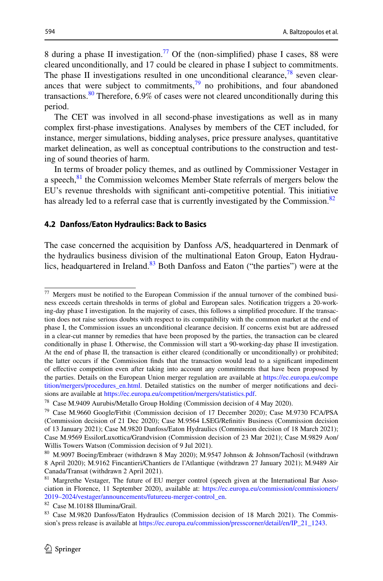8 during a phase II investigation.<sup>77</sup> Of the (non-simplified) phase I cases, 88 were cleared unconditionally, and 17 could be cleared in phase I subject to commitments. The phase II investigations resulted in one unconditional clearance,  $\frac{78}{3}$  $\frac{78}{3}$  $\frac{78}{3}$  seven clearances that were subject to commitments,  $\frac{79}{9}$  no prohibitions, and four abandoned transactions.<sup>80</sup> Therefore,  $6.9\%$  of cases were not cleared unconditionally during this period.

The CET was involved in all second-phase investigations as well as in many complex frst-phase investigations. Analyses by members of the CET included, for instance, merger simulations, bidding analyses, price pressure analyses, quantitative market delineation, as well as conceptual contributions to the construction and testing of sound theories of harm.

In terms of broader policy themes, and as outlined by Commissioner Vestager in a speech, $81$ <sup>l</sup> the Commission welcomes Member State referrals of mergers below the EU's revenue thresholds with signifcant anti-competitive potential. This initiative has already led to a referral case that is currently investigated by the Commission.<sup>[82](#page-27-5)</sup>

#### **4.2 Danfoss/Eaton Hydraulics: Back to Basics**

The case concerned the acquisition by Danfoss A/S, headquartered in Denmark of the hydraulics business division of the multinational Eaton Group, Eaton Hydraulics, headquartered in Ireland. $83$  Both Danfoss and Eaton ("the parties") were at the

<span id="page-27-5"></span><sup>82</sup> Case M.10188 Illumina/Grail.

<span id="page-27-0"></span> $77$  Mergers must be notified to the European Commission if the annual turnover of the combined business exceeds certain thresholds in terms of global and European sales. Notifcation triggers a 20-working-day phase I investigation. In the majority of cases, this follows a simplifed procedure. If the transaction does not raise serious doubts with respect to its compatibility with the common market at the end of phase I, the Commission issues an unconditional clearance decision. If concerns exist but are addressed in a clear-cut manner by remedies that have been proposed by the parties, the transaction can be cleared conditionally in phase I. Otherwise, the Commission will start a 90-working-day phase II investigation. At the end of phase II, the transaction is either cleared (conditionally or unconditionally) or prohibited; the latter occurs if the Commission fnds that the transaction would lead to a signifcant impediment of efective competition even after taking into account any commitments that have been proposed by the parties. Details on the European Union merger regulation are available at [https://ec.europa.eu/compe](https://ec.europa.eu/competition/mergers/procedures_en.html) [tition/mergers/procedures\\_en.html](https://ec.europa.eu/competition/mergers/procedures_en.html). Detailed statistics on the number of merger notifcations and decisions are available at [https://ec.europa.eu/competition/mergers/statistics.pdf.](https://ec.europa.eu/competition/mergers/statistics.pdf)

<span id="page-27-1"></span><sup>78</sup> Case M.9409 Aurubis/Metallo Group Holding (Commission decision of 4 May 2020).

<span id="page-27-2"></span><sup>79</sup> Case M.9660 Google/Fitbit (Commission decision of 17 December 2020); Case M.9730 FCA/PSA (Commission decision of 21 Dec 2020); Case M.9564 LSEG/Refnitiv Business (Commission decision of 13 January 2021); Case M.9820 Danfoss/Eaton Hydraulics (Commission decision of 18 March 2021); Case M.9569 EssilorLuxottica/Grandvision (Commission decision of 23 Mar 2021); Case M.9829 Aon/ Willis Towers Watson (Commission decision of 9 Jul 2021).

<span id="page-27-3"></span><sup>80</sup> M.9097 Boeing/Embraer (withdrawn 8 May 2020); M.9547 Johnson & Johnson/Tachosil (withdrawn 8 April 2020); M.9162 Fincantieri/Chantiers de l'Atlantique (withdrawn 27 January 2021); M.9489 Air Canada/Transat (withdrawn 2 April 2021).

<span id="page-27-4"></span><sup>&</sup>lt;sup>81</sup> Margrethe Vestager, The future of EU merger control (speech given at the International Bar Association in Florence, 11 September 2020), available at: [https://ec.europa.eu/commission/commissioners/](https://ec.europa.eu/commission/commissioners/2019–2024/vestager/announcements/futureeu-merger-control_en) [2019–2024/vestager/announcements/futureeu-merger-control\\_en](https://ec.europa.eu/commission/commissioners/2019–2024/vestager/announcements/futureeu-merger-control_en).

<span id="page-27-6"></span><sup>83</sup> Case M.9820 Danfoss/Eaton Hydraulics (Commission decision of 18 March 2021). The Commission's press release is available at [https://ec.europa.eu/commission/presscorner/detail/en/IP\\_21\\_1243](https://ec.europa.eu/commission/presscorner/detail/en/IP_21_1243).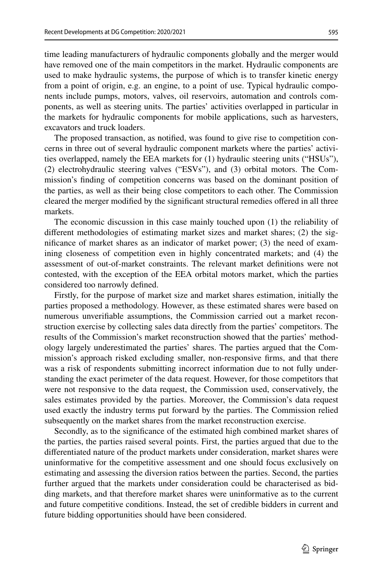time leading manufacturers of hydraulic components globally and the merger would have removed one of the main competitors in the market. Hydraulic components are used to make hydraulic systems, the purpose of which is to transfer kinetic energy from a point of origin, e.g. an engine, to a point of use. Typical hydraulic components include pumps, motors, valves, oil reservoirs, automation and controls components, as well as steering units. The parties' activities overlapped in particular in the markets for hydraulic components for mobile applications, such as harvesters, excavators and truck loaders.

The proposed transaction, as notifed, was found to give rise to competition concerns in three out of several hydraulic component markets where the parties' activities overlapped, namely the EEA markets for (1) hydraulic steering units ("HSUs"), (2) electrohydraulic steering valves ("ESVs"), and (3) orbital motors. The Commission's fnding of competition concerns was based on the dominant position of the parties, as well as their being close competitors to each other. The Commission cleared the merger modifed by the signifcant structural remedies ofered in all three markets.

The economic discussion in this case mainly touched upon (1) the reliability of diferent methodologies of estimating market sizes and market shares; (2) the signifcance of market shares as an indicator of market power; (3) the need of examining closeness of competition even in highly concentrated markets; and (4) the assessment of out-of-market constraints. The relevant market defnitions were not contested, with the exception of the EEA orbital motors market, which the parties considered too narrowly defned.

Firstly, for the purpose of market size and market shares estimation, initially the parties proposed a methodology. However, as these estimated shares were based on numerous unverifable assumptions, the Commission carried out a market reconstruction exercise by collecting sales data directly from the parties' competitors. The results of the Commission's market reconstruction showed that the parties' methodology largely underestimated the parties' shares. The parties argued that the Commission's approach risked excluding smaller, non-responsive frms, and that there was a risk of respondents submitting incorrect information due to not fully understanding the exact perimeter of the data request. However, for those competitors that were not responsive to the data request, the Commission used, conservatively, the sales estimates provided by the parties. Moreover, the Commission's data request used exactly the industry terms put forward by the parties. The Commission relied subsequently on the market shares from the market reconstruction exercise.

Secondly, as to the signifcance of the estimated high combined market shares of the parties, the parties raised several points. First, the parties argued that due to the diferentiated nature of the product markets under consideration, market shares were uninformative for the competitive assessment and one should focus exclusively on estimating and assessing the diversion ratios between the parties. Second, the parties further argued that the markets under consideration could be characterised as bidding markets, and that therefore market shares were uninformative as to the current and future competitive conditions. Instead, the set of credible bidders in current and future bidding opportunities should have been considered.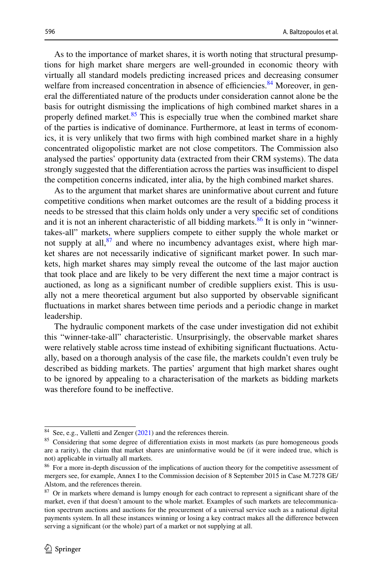As to the importance of market shares, it is worth noting that structural presumptions for high market share mergers are well-grounded in economic theory with virtually all standard models predicting increased prices and decreasing consumer welfare from increased concentration in absence of efficiencies.<sup>84</sup> Moreover, in general the diferentiated nature of the products under consideration cannot alone be the basis for outright dismissing the implications of high combined market shares in a properly defined market. $85$  This is especially true when the combined market share of the parties is indicative of dominance. Furthermore, at least in terms of economics, it is very unlikely that two frms with high combined market share in a highly concentrated oligopolistic market are not close competitors. The Commission also analysed the parties' opportunity data (extracted from their CRM systems). The data strongly suggested that the differentiation across the parties was insufficient to dispel the competition concerns indicated, inter alia, by the high combined market shares.

As to the argument that market shares are uninformative about current and future competitive conditions when market outcomes are the result of a bidding process it needs to be stressed that this claim holds only under a very specifc set of conditions and it is not an inherent characteristic of all bidding markets.  $86$  It is only in "winnertakes-all" markets, where suppliers compete to either supply the whole market or not supply at all, $^{87}$  and where no incumbency advantages exist, where high market shares are not necessarily indicative of signifcant market power. In such markets, high market shares may simply reveal the outcome of the last major auction that took place and are likely to be very diferent the next time a major contract is auctioned, as long as a signifcant number of credible suppliers exist. This is usually not a mere theoretical argument but also supported by observable signifcant fuctuations in market shares between time periods and a periodic change in market leadership.

The hydraulic component markets of the case under investigation did not exhibit this "winner-take-all" characteristic. Unsurprisingly, the observable market shares were relatively stable across time instead of exhibiting signifcant fuctuations. Actually, based on a thorough analysis of the case fle, the markets couldn't even truly be described as bidding markets. The parties' argument that high market shares ought to be ignored by appealing to a characterisation of the markets as bidding markets was therefore found to be inefective.

<span id="page-29-0"></span><sup>84</sup> See, e.g., Valletti and Zenger ([2021\)](#page-31-1) and the references therein.

<span id="page-29-1"></span><sup>&</sup>lt;sup>85</sup> Considering that some degree of differentiation exists in most markets (as pure homogeneous goods are a rarity), the claim that market shares are uninformative would be (if it were indeed true, which is not) applicable in virtually all markets.

<span id="page-29-2"></span><sup>&</sup>lt;sup>86</sup> For a more in-depth discussion of the implications of auction theory for the competitive assessment of mergers see, for example, Annex I to the Commission decision of 8 September 2015 in Case M.7278 GE/ Alstom, and the references therein.

<span id="page-29-3"></span><sup>&</sup>lt;sup>87</sup> Or in markets where demand is lumpy enough for each contract to represent a significant share of the market, even if that doesn't amount to the whole market. Examples of such markets are telecommunication spectrum auctions and auctions for the procurement of a universal service such as a national digital payments system. In all these instances winning or losing a key contract makes all the diference between serving a signifcant (or the whole) part of a market or not supplying at all.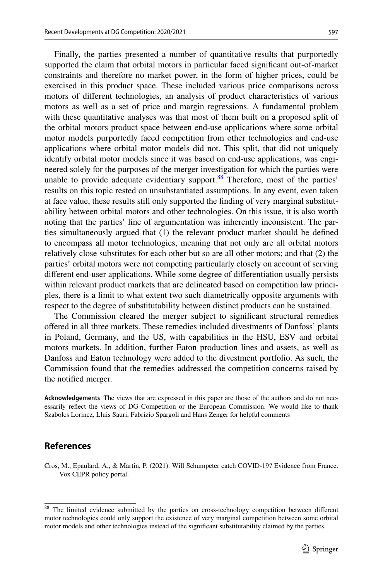Finally, the parties presented a number of quantitative results that purportedly supported the claim that orbital motors in particular faced signifcant out-of-market constraints and therefore no market power, in the form of higher prices, could be exercised in this product space. These included various price comparisons across motors of diferent technologies, an analysis of product characteristics of various motors as well as a set of price and margin regressions. A fundamental problem with these quantitative analyses was that most of them built on a proposed split of the orbital motors product space between end-use applications where some orbital motor models purportedly faced competition from other technologies and end-use applications where orbital motor models did not. This split, that did not uniquely identify orbital motor models since it was based on end-use applications, was engineered solely for the purposes of the merger investigation for which the parties were unable to provide adequate evidentiary support. $88$  Therefore, most of the parties' results on this topic rested on unsubstantiated assumptions. In any event, even taken at face value, these results still only supported the fnding of very marginal substitutability between orbital motors and other technologies. On this issue, it is also worth noting that the parties' line of argumentation was inherently inconsistent. The parties simultaneously argued that (1) the relevant product market should be defned to encompass all motor technologies, meaning that not only are all orbital motors relatively close substitutes for each other but so are all other motors; and that (2) the parties' orbital motors were not competing particularly closely on account of serving diferent end-user applications. While some degree of diferentiation usually persists within relevant product markets that are delineated based on competition law principles, there is a limit to what extent two such diametrically opposite arguments with respect to the degree of substitutability between distinct products can be sustained.

The Commission cleared the merger subject to signifcant structural remedies ofered in all three markets. These remedies included divestments of Danfoss' plants in Poland, Germany, and the US, with capabilities in the HSU, ESV and orbital motors markets. In addition, further Eaton production lines and assets, as well as Danfoss and Eaton technology were added to the divestment portfolio. As such, the Commission found that the remedies addressed the competition concerns raised by the notifed merger.

**Acknowledgements** The views that are expressed in this paper are those of the authors and do not necessarily refect the views of DG Competition or the European Commission. We would like to thank Szabolcs Lorincz, Lluis Sauri, Fabrizio Spargoli and Hans Zenger for helpful comments

# **References**

<span id="page-30-0"></span>Cros, M., Epaulard, A., & Martin, P. (2021). Will Schumpeter catch COVID-19? Evidence from France. Vox CEPR policy portal.

<span id="page-30-1"></span><sup>&</sup>lt;sup>88</sup> The limited evidence submitted by the parties on cross-technology competition between different motor technologies could only support the existence of very marginal competition between some orbital motor models and other technologies instead of the signifcant substitutability claimed by the parties.